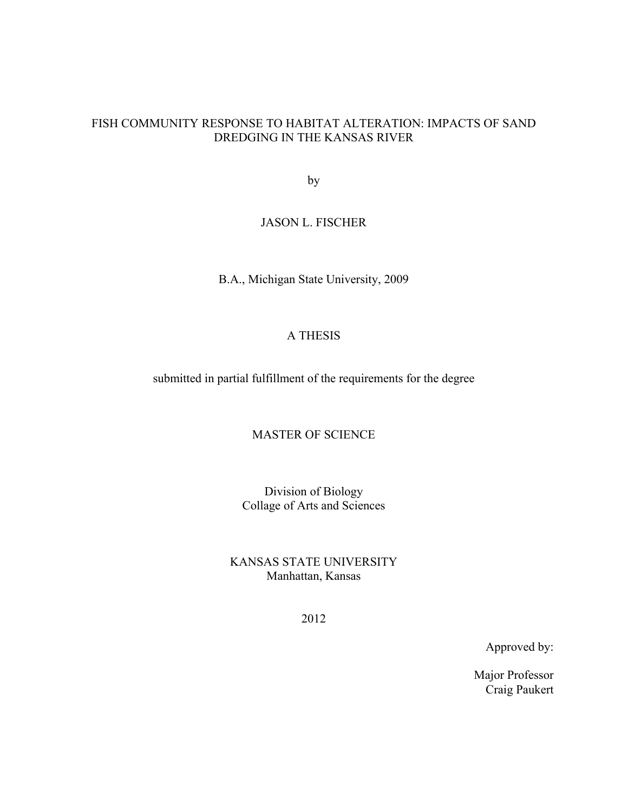## FISH COMMUNITY RESPONSE TO HABITAT ALTERATION: IMPACTS OF SAND DREDGING IN THE KANSAS RIVER

by

## JASON L. FISCHER

B.A., Michigan State University, 2009

# A THESIS

submitted in partial fulfillment of the requirements for the degree

# MASTER OF SCIENCE

Division of Biology Collage of Arts and Sciences

KANSAS STATE UNIVERSITY Manhattan, Kansas

2012

Approved by:

Major Professor Craig Paukert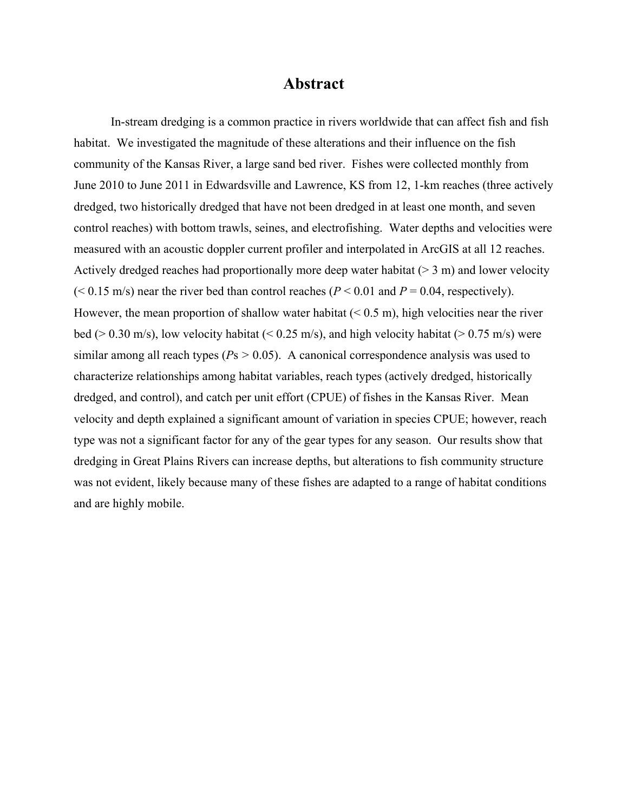# **Abstract**

In-stream dredging is a common practice in rivers worldwide that can affect fish and fish habitat. We investigated the magnitude of these alterations and their influence on the fish community of the Kansas River, a large sand bed river. Fishes were collected monthly from June 2010 to June 2011 in Edwardsville and Lawrence, KS from 12, 1-km reaches (three actively dredged, two historically dredged that have not been dredged in at least one month, and seven control reaches) with bottom trawls, seines, and electrofishing. Water depths and velocities were measured with an acoustic doppler current profiler and interpolated in ArcGIS at all 12 reaches. Actively dredged reaches had proportionally more deep water habitat  $(> 3 \text{ m})$  and lower velocity  $(< 0.15$  m/s) near the river bed than control reaches ( $P < 0.01$  and  $P = 0.04$ , respectively). However, the mean proportion of shallow water habitat  $(< 0.5 \text{ m})$ , high velocities near the river bed ( $> 0.30$  m/s), low velocity habitat ( $< 0.25$  m/s), and high velocity habitat ( $> 0.75$  m/s) were similar among all reach types ( $Ps > 0.05$ ). A canonical correspondence analysis was used to characterize relationships among habitat variables, reach types (actively dredged, historically dredged, and control), and catch per unit effort (CPUE) of fishes in the Kansas River. Mean velocity and depth explained a significant amount of variation in species CPUE; however, reach type was not a significant factor for any of the gear types for any season. Our results show that dredging in Great Plains Rivers can increase depths, but alterations to fish community structure was not evident, likely because many of these fishes are adapted to a range of habitat conditions and are highly mobile.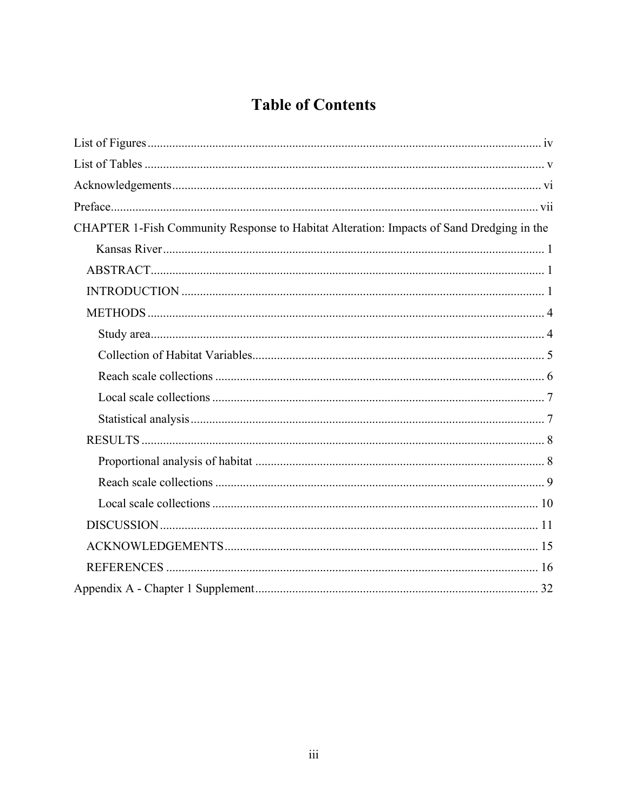# **Table of Contents**

| CHAPTER 1-Fish Community Response to Habitat Alteration: Impacts of Sand Dredging in the |  |
|------------------------------------------------------------------------------------------|--|
|                                                                                          |  |
|                                                                                          |  |
|                                                                                          |  |
|                                                                                          |  |
|                                                                                          |  |
|                                                                                          |  |
|                                                                                          |  |
|                                                                                          |  |
|                                                                                          |  |
|                                                                                          |  |
|                                                                                          |  |
|                                                                                          |  |
|                                                                                          |  |
|                                                                                          |  |
|                                                                                          |  |
|                                                                                          |  |
|                                                                                          |  |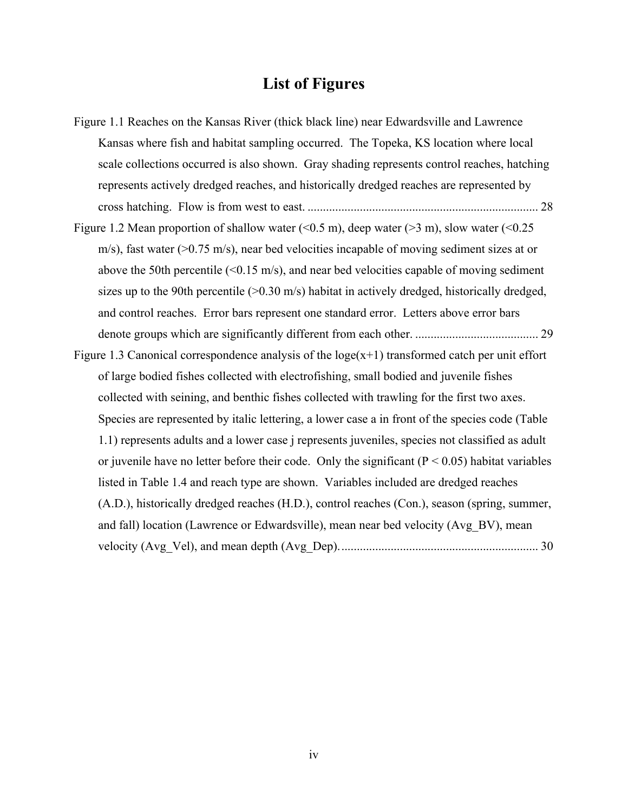# **List of Figures**

Figure 1.1 Reaches on the Kansas River (thick black line) near Edwardsville and Lawrence Kansas where fish and habitat sampling occurred. The Topeka, KS location where local scale collections occurred is also shown. Gray shading represents control reaches, hatching represents actively dredged reaches, and historically dredged reaches are represented by cross hatching. Flow is from west to east. ........................................................................... 28 Figure 1.2 Mean proportion of shallow water  $(< 0.5 \text{ m})$ , deep water  $(> 3 \text{ m})$ , slow water  $(< 0.25 \text{ m})$ m/s), fast water ( $>0.75$  m/s), near bed velocities incapable of moving sediment sizes at or above the 50th percentile  $(<0.15 \text{ m/s})$ , and near bed velocities capable of moving sediment sizes up to the 90th percentile  $(>0.30 \text{ m/s})$  habitat in actively dredged, historically dredged, and control reaches. Error bars represent one standard error. Letters above error bars denote groups which are significantly different from each other. ........................................ 29 Figure 1.3 Canonical correspondence analysis of the  $loge(x+1)$  transformed catch per unit effort of large bodied fishes collected with electrofishing, small bodied and juvenile fishes collected with seining, and benthic fishes collected with trawling for the first two axes. Species are represented by italic lettering, a lower case a in front of the species code (Table 1.1) represents adults and a lower case j represents juveniles, species not classified as adult or juvenile have no letter before their code. Only the significant ( $P \le 0.05$ ) habitat variables listed in Table 1.4 and reach type are shown. Variables included are dredged reaches (A.D.), historically dredged reaches (H.D.), control reaches (Con.), season (spring, summer, and fall) location (Lawrence or Edwardsville), mean near bed velocity (Avg\_BV), mean velocity (Avg\_Vel), and mean depth (Avg\_Dep). ................................................................ 30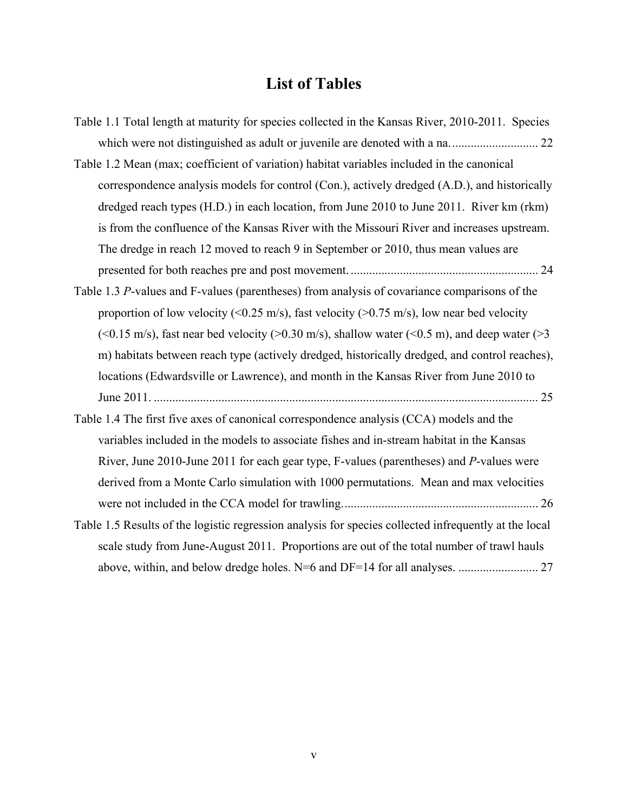# **List of Tables**

| Table 1.1 Total length at maturity for species collected in the Kansas River, 2010-2011. Species      |
|-------------------------------------------------------------------------------------------------------|
|                                                                                                       |
| Table 1.2 Mean (max; coefficient of variation) habitat variables included in the canonical            |
| correspondence analysis models for control (Con.), actively dredged (A.D.), and historically          |
| dredged reach types (H.D.) in each location, from June 2010 to June 2011. River km (rkm)              |
| is from the confluence of the Kansas River with the Missouri River and increases upstream.            |
| The dredge in reach 12 moved to reach 9 in September or 2010, thus mean values are                    |
|                                                                                                       |
| Table 1.3 P-values and F-values (parentheses) from analysis of covariance comparisons of the          |
| proportion of low velocity (<0.25 m/s), fast velocity (>0.75 m/s), low near bed velocity              |
| (<0.15 m/s), fast near bed velocity (>0.30 m/s), shallow water (<0.5 m), and deep water (>3           |
| m) habitats between reach type (actively dredged, historically dredged, and control reaches),         |
| locations (Edwardsville or Lawrence), and month in the Kansas River from June 2010 to                 |
|                                                                                                       |
| Table 1.4 The first five axes of canonical correspondence analysis (CCA) models and the               |
| variables included in the models to associate fishes and in-stream habitat in the Kansas              |
| River, June 2010-June 2011 for each gear type, F-values (parentheses) and P-values were               |
| derived from a Monte Carlo simulation with 1000 permutations. Mean and max velocities                 |
|                                                                                                       |
| Table 1.5 Results of the logistic regression analysis for species collected infrequently at the local |
| scale study from June-August 2011. Proportions are out of the total number of trawl hauls             |
|                                                                                                       |
|                                                                                                       |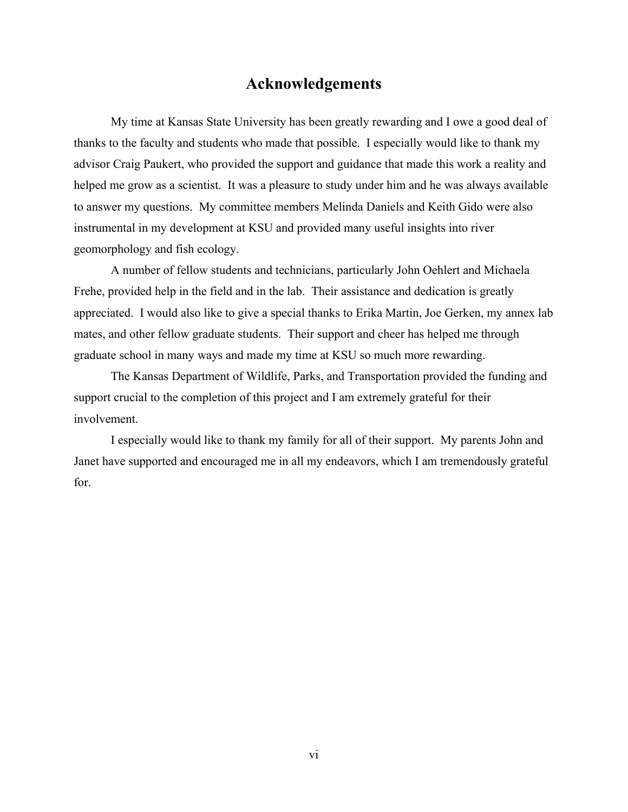# **Acknowledgements**

My time at Kansas State University has been greatly rewarding and I owe a good deal of thanks to the faculty and students who made that possible. I especially would like to thank my advisor Craig Paukert, who provided the support and guidance that made this work a reality and helped me grow as a scientist. It was a pleasure to study under him and he was always available to answer my questions. My committee members Melinda Daniels and Keith Gido were also instrumental in my development at KSU and provided many useful insights into river geomorphology and fish ecology.

A number of fellow students and technicians, particularly John Oehlert and Michaela Frehe, provided help in the field and in the lab. Their assistance and dedication is greatly appreciated. I would also like to give a special thanks to Erika Martin, Joe Gerken, my annex lab mates, and other fellow graduate students. Their support and cheer has helped me through graduate school in many ways and made my time at KSU so much more rewarding.

The Kansas Department of Wildlife, Parks, and Transportation provided the funding and support crucial to the completion of this project and I am extremely grateful for their involvement.

I especially would like to thank my family for all of their support. My parents John and Janet have supported and encouraged me in all my endeavors, which I am tremendously grateful for.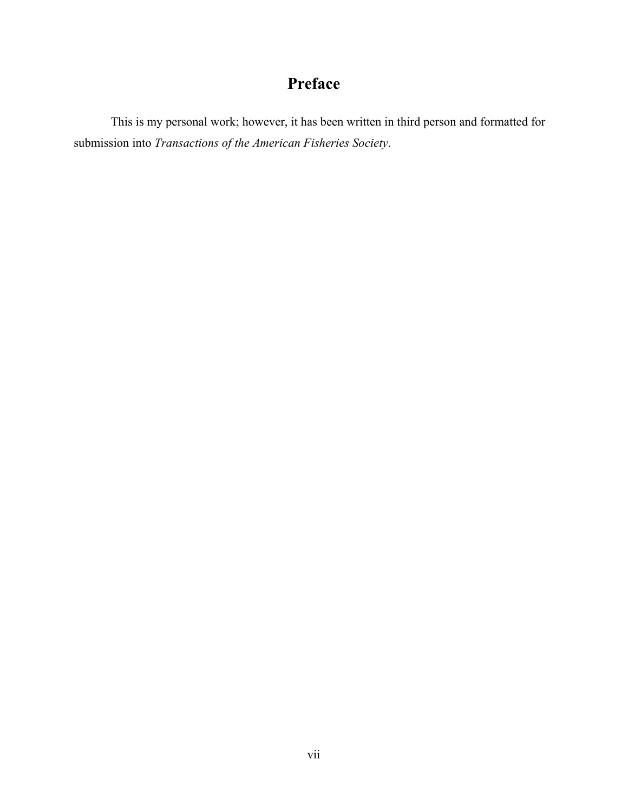# **Preface**

This is my personal work; however, it has been written in third person and formatted for submission into *Transactions of the American Fisheries Society*.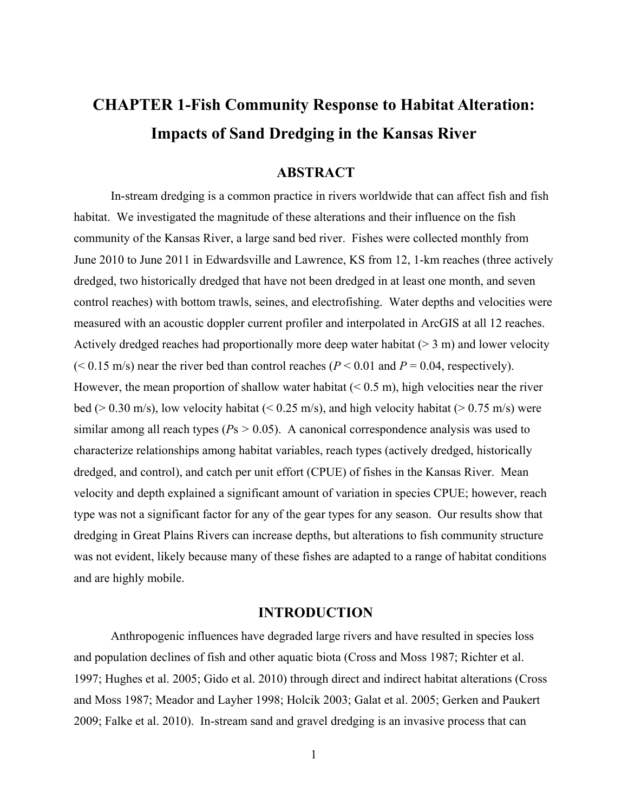# **CHAPTER 1-Fish Community Response to Habitat Alteration: Impacts of Sand Dredging in the Kansas River**

# **ABSTRACT**

In-stream dredging is a common practice in rivers worldwide that can affect fish and fish habitat. We investigated the magnitude of these alterations and their influence on the fish community of the Kansas River, a large sand bed river. Fishes were collected monthly from June 2010 to June 2011 in Edwardsville and Lawrence, KS from 12, 1-km reaches (three actively dredged, two historically dredged that have not been dredged in at least one month, and seven control reaches) with bottom trawls, seines, and electrofishing. Water depths and velocities were measured with an acoustic doppler current profiler and interpolated in ArcGIS at all 12 reaches. Actively dredged reaches had proportionally more deep water habitat  $(> 3 \text{ m})$  and lower velocity ( $< 0.15$  m/s) near the river bed than control reaches ( $P < 0.01$  and  $P = 0.04$ , respectively). However, the mean proportion of shallow water habitat  $(< 0.5 \text{ m})$ , high velocities near the river bed ( $> 0.30$  m/s), low velocity habitat ( $< 0.25$  m/s), and high velocity habitat ( $> 0.75$  m/s) were similar among all reach types ( $Ps > 0.05$ ). A canonical correspondence analysis was used to characterize relationships among habitat variables, reach types (actively dredged, historically dredged, and control), and catch per unit effort (CPUE) of fishes in the Kansas River. Mean velocity and depth explained a significant amount of variation in species CPUE; however, reach type was not a significant factor for any of the gear types for any season. Our results show that dredging in Great Plains Rivers can increase depths, but alterations to fish community structure was not evident, likely because many of these fishes are adapted to a range of habitat conditions and are highly mobile.

#### **INTRODUCTION**

Anthropogenic influences have degraded large rivers and have resulted in species loss and population declines of fish and other aquatic biota (Cross and Moss 1987; Richter et al. 1997; Hughes et al. 2005; Gido et al. 2010) through direct and indirect habitat alterations (Cross and Moss 1987; Meador and Layher 1998; Holcik 2003; Galat et al. 2005; Gerken and Paukert 2009; Falke et al. 2010). In-stream sand and gravel dredging is an invasive process that can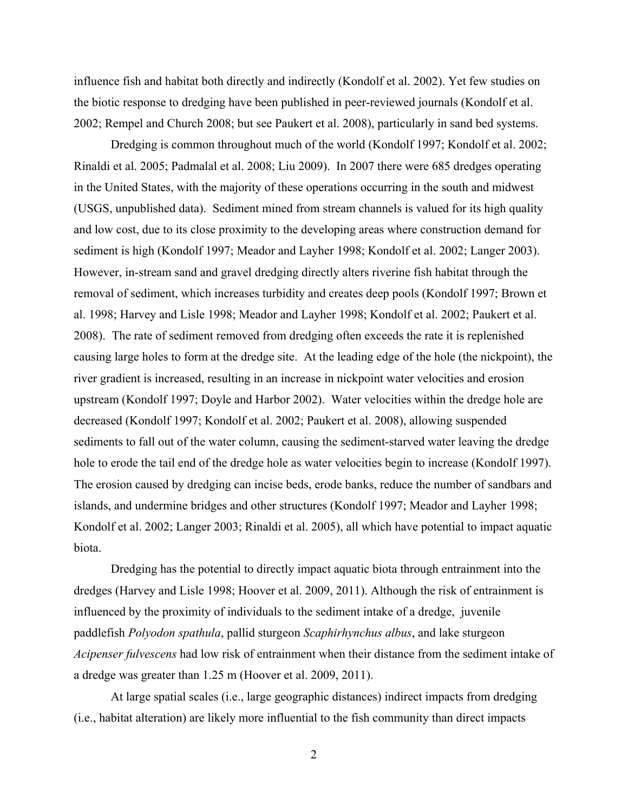influence fish and habitat both directly and indirectly (Kondolf et al. 2002). Yet few studies on the biotic response to dredging have been published in peer-reviewed journals (Kondolf et al. 2002; Rempel and Church 2008; but see Paukert et al. 2008), particularly in sand bed systems.

Dredging is common throughout much of the world (Kondolf 1997; Kondolf et al. 2002; Rinaldi et al. 2005; Padmalal et al. 2008; Liu 2009). In 2007 there were 685 dredges operating in the United States, with the majority of these operations occurring in the south and midwest (USGS, unpublished data). Sediment mined from stream channels is valued for its high quality and low cost, due to its close proximity to the developing areas where construction demand for sediment is high (Kondolf 1997; Meador and Layher 1998; Kondolf et al. 2002; Langer 2003). However, in-stream sand and gravel dredging directly alters riverine fish habitat through the removal of sediment, which increases turbidity and creates deep pools (Kondolf 1997; Brown et al. 1998; Harvey and Lisle 1998; Meador and Layher 1998; Kondolf et al. 2002; Paukert et al. 2008). The rate of sediment removed from dredging often exceeds the rate it is replenished causing large holes to form at the dredge site. At the leading edge of the hole (the nickpoint), the river gradient is increased, resulting in an increase in nickpoint water velocities and erosion upstream (Kondolf 1997; Doyle and Harbor 2002). Water velocities within the dredge hole are decreased (Kondolf 1997; Kondolf et al. 2002; Paukert et al. 2008), allowing suspended sediments to fall out of the water column, causing the sediment-starved water leaving the dredge hole to erode the tail end of the dredge hole as water velocities begin to increase (Kondolf 1997). The erosion caused by dredging can incise beds, erode banks, reduce the number of sandbars and islands, and undermine bridges and other structures (Kondolf 1997; Meador and Layher 1998; Kondolf et al. 2002; Langer 2003; Rinaldi et al. 2005), all which have potential to impact aquatic biota.

Dredging has the potential to directly impact aquatic biota through entrainment into the dredges (Harvey and Lisle 1998; Hoover et al. 2009, 2011). Although the risk of entrainment is influenced by the proximity of individuals to the sediment intake of a dredge, juvenile paddlefish *Polyodon spathula*, pallid sturgeon *Scaphirhynchus albus*, and lake sturgeon *Acipenser fulvescens* had low risk of entrainment when their distance from the sediment intake of a dredge was greater than 1.25 m (Hoover et al. 2009, 2011).

At large spatial scales (i.e., large geographic distances) indirect impacts from dredging (i.e., habitat alteration) are likely more influential to the fish community than direct impacts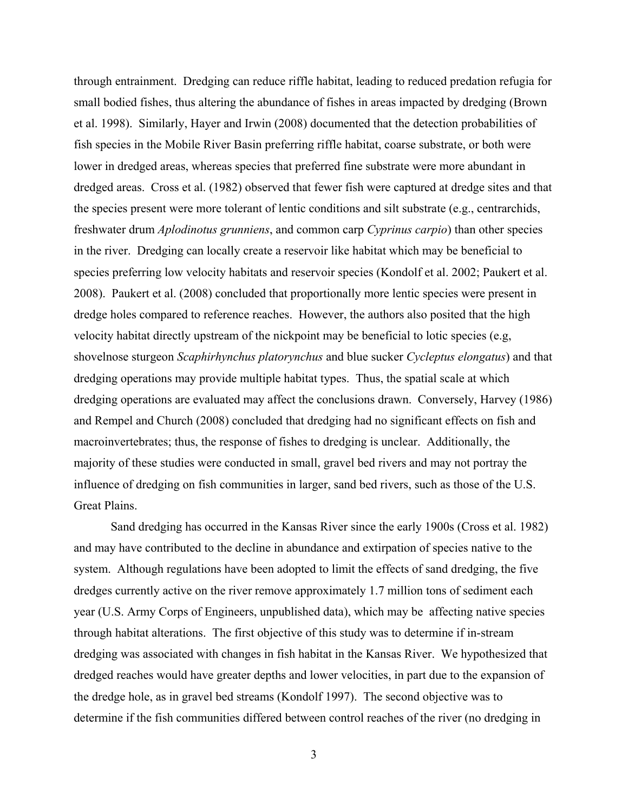through entrainment. Dredging can reduce riffle habitat, leading to reduced predation refugia for small bodied fishes, thus altering the abundance of fishes in areas impacted by dredging (Brown et al. 1998). Similarly, Hayer and Irwin (2008) documented that the detection probabilities of fish species in the Mobile River Basin preferring riffle habitat, coarse substrate, or both were lower in dredged areas, whereas species that preferred fine substrate were more abundant in dredged areas. Cross et al. (1982) observed that fewer fish were captured at dredge sites and that the species present were more tolerant of lentic conditions and silt substrate (e.g., centrarchids, freshwater drum *Aplodinotus grunniens*, and common carp *Cyprinus carpio*) than other species in the river. Dredging can locally create a reservoir like habitat which may be beneficial to species preferring low velocity habitats and reservoir species (Kondolf et al. 2002; Paukert et al. 2008). Paukert et al. (2008) concluded that proportionally more lentic species were present in dredge holes compared to reference reaches. However, the authors also posited that the high velocity habitat directly upstream of the nickpoint may be beneficial to lotic species (e.g, shovelnose sturgeon *Scaphirhynchus platorynchus* and blue sucker *Cycleptus elongatus*) and that dredging operations may provide multiple habitat types. Thus, the spatial scale at which dredging operations are evaluated may affect the conclusions drawn. Conversely, Harvey (1986) and Rempel and Church (2008) concluded that dredging had no significant effects on fish and macroinvertebrates; thus, the response of fishes to dredging is unclear. Additionally, the majority of these studies were conducted in small, gravel bed rivers and may not portray the influence of dredging on fish communities in larger, sand bed rivers, such as those of the U.S. Great Plains.

Sand dredging has occurred in the Kansas River since the early 1900s (Cross et al. 1982) and may have contributed to the decline in abundance and extirpation of species native to the system. Although regulations have been adopted to limit the effects of sand dredging, the five dredges currently active on the river remove approximately 1.7 million tons of sediment each year (U.S. Army Corps of Engineers, unpublished data), which may be affecting native species through habitat alterations. The first objective of this study was to determine if in-stream dredging was associated with changes in fish habitat in the Kansas River. We hypothesized that dredged reaches would have greater depths and lower velocities, in part due to the expansion of the dredge hole, as in gravel bed streams (Kondolf 1997). The second objective was to determine if the fish communities differed between control reaches of the river (no dredging in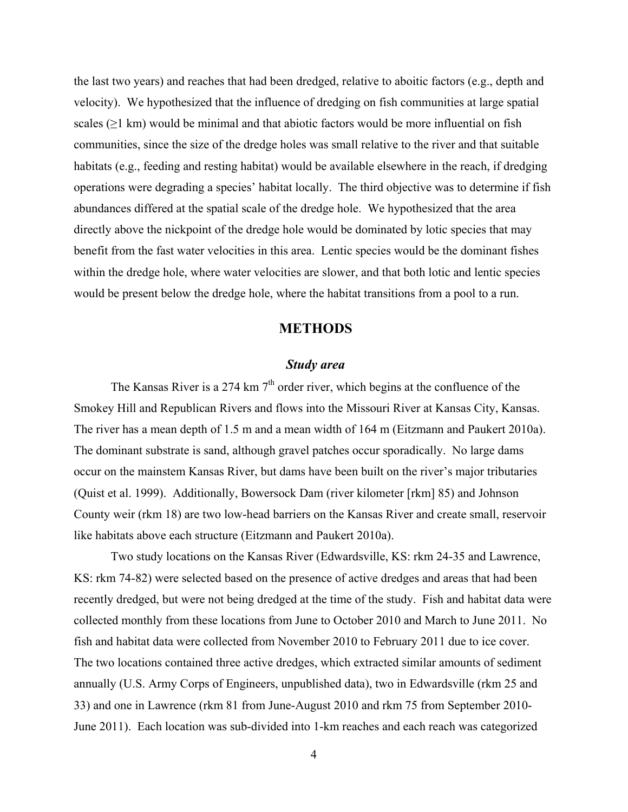the last two years) and reaches that had been dredged, relative to aboitic factors (e.g., depth and velocity). We hypothesized that the influence of dredging on fish communities at large spatial scales  $(\geq 1 \text{ km})$  would be minimal and that abiotic factors would be more influential on fish communities, since the size of the dredge holes was small relative to the river and that suitable habitats (e.g., feeding and resting habitat) would be available elsewhere in the reach, if dredging operations were degrading a species' habitat locally. The third objective was to determine if fish abundances differed at the spatial scale of the dredge hole. We hypothesized that the area directly above the nickpoint of the dredge hole would be dominated by lotic species that may benefit from the fast water velocities in this area. Lentic species would be the dominant fishes within the dredge hole, where water velocities are slower, and that both lotic and lentic species would be present below the dredge hole, where the habitat transitions from a pool to a run.

# **METHODS**

#### *Study area*

The Kansas River is a 274 km  $7<sup>th</sup>$  order river, which begins at the confluence of the Smokey Hill and Republican Rivers and flows into the Missouri River at Kansas City, Kansas. The river has a mean depth of 1.5 m and a mean width of 164 m (Eitzmann and Paukert 2010a). The dominant substrate is sand, although gravel patches occur sporadically. No large dams occur on the mainstem Kansas River, but dams have been built on the river's major tributaries (Quist et al. 1999). Additionally, Bowersock Dam (river kilometer [rkm] 85) and Johnson County weir (rkm 18) are two low-head barriers on the Kansas River and create small, reservoir like habitats above each structure (Eitzmann and Paukert 2010a).

Two study locations on the Kansas River (Edwardsville, KS: rkm 24-35 and Lawrence, KS: rkm 74-82) were selected based on the presence of active dredges and areas that had been recently dredged, but were not being dredged at the time of the study. Fish and habitat data were collected monthly from these locations from June to October 2010 and March to June 2011. No fish and habitat data were collected from November 2010 to February 2011 due to ice cover. The two locations contained three active dredges, which extracted similar amounts of sediment annually (U.S. Army Corps of Engineers, unpublished data), two in Edwardsville (rkm 25 and 33) and one in Lawrence (rkm 81 from June-August 2010 and rkm 75 from September 2010- June 2011). Each location was sub-divided into 1-km reaches and each reach was categorized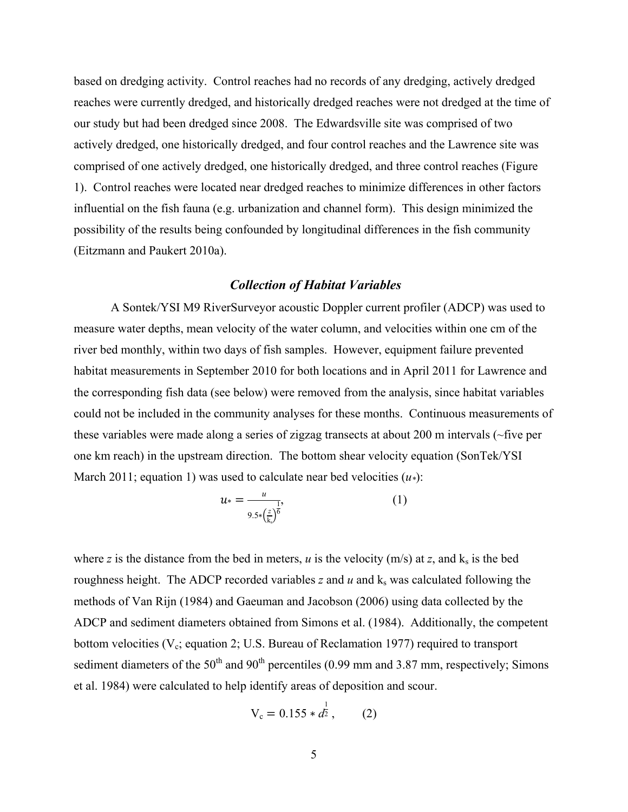based on dredging activity. Control reaches had no records of any dredging, actively dredged reaches were currently dredged, and historically dredged reaches were not dredged at the time of our study but had been dredged since 2008. The Edwardsville site was comprised of two actively dredged, one historically dredged, and four control reaches and the Lawrence site was comprised of one actively dredged, one historically dredged, and three control reaches (Figure 1). Control reaches were located near dredged reaches to minimize differences in other factors influential on the fish fauna (e.g. urbanization and channel form). This design minimized the possibility of the results being confounded by longitudinal differences in the fish community (Eitzmann and Paukert 2010a).

#### *Collection of Habitat Variables*

A Sontek/YSI M9 RiverSurveyor acoustic Doppler current profiler (ADCP) was used to measure water depths, mean velocity of the water column, and velocities within one cm of the river bed monthly, within two days of fish samples. However, equipment failure prevented habitat measurements in September 2010 for both locations and in April 2011 for Lawrence and the corresponding fish data (see below) were removed from the analysis, since habitat variables could not be included in the community analyses for these months. Continuous measurements of these variables were made along a series of zigzag transects at about 200 m intervals (~five per one km reach) in the upstream direction. The bottom shear velocity equation (SonTek/YSI March 2011; equation 1) was used to calculate near bed velocities (*u\**):

$$
u_* = \frac{u}{9.5 \cdot (\frac{z}{k_s})^6}
$$
 (1)

where *z* is the distance from the bed in meters, *u* is the velocity (m/s) at *z*, and  $k_s$  is the bed roughness height. The ADCP recorded variables  $z$  and  $u$  and  $k_s$  was calculated following the methods of Van Rijn (1984) and Gaeuman and Jacobson (2006) using data collected by the ADCP and sediment diameters obtained from Simons et al. (1984). Additionally, the competent bottom velocities ( $V_c$ ; equation 2; U.S. Bureau of Reclamation 1977) required to transport sediment diameters of the  $50<sup>th</sup>$  and  $90<sup>th</sup>$  percentiles (0.99 mm and 3.87 mm, respectively; Simons et al. 1984) were calculated to help identify areas of deposition and scour.

$$
V_c = 0.155 * \frac{1}{4^2}, \qquad (2)
$$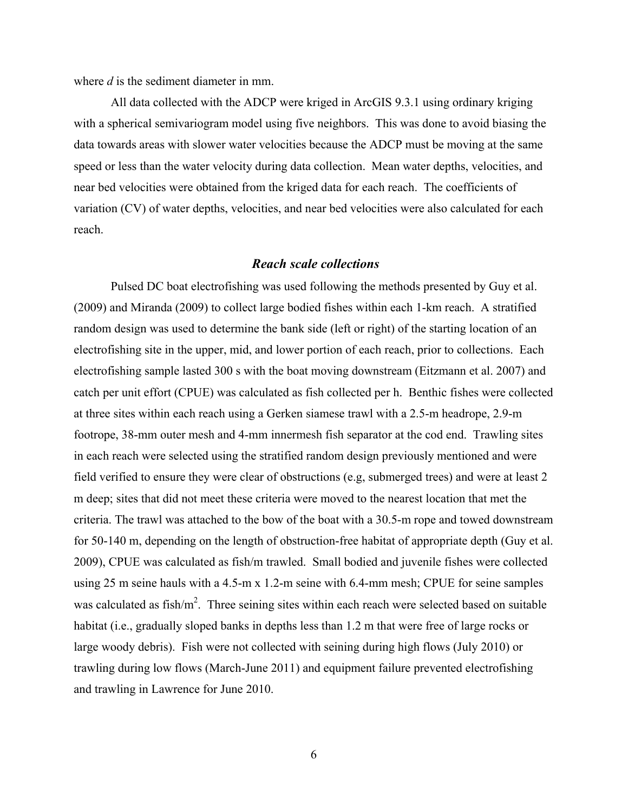where *d* is the sediment diameter in mm.

All data collected with the ADCP were kriged in ArcGIS 9.3.1 using ordinary kriging with a spherical semivariogram model using five neighbors. This was done to avoid biasing the data towards areas with slower water velocities because the ADCP must be moving at the same speed or less than the water velocity during data collection. Mean water depths, velocities, and near bed velocities were obtained from the kriged data for each reach. The coefficients of variation (CV) of water depths, velocities, and near bed velocities were also calculated for each reach.

#### *Reach scale collections*

Pulsed DC boat electrofishing was used following the methods presented by Guy et al. (2009) and Miranda (2009) to collect large bodied fishes within each 1-km reach. A stratified random design was used to determine the bank side (left or right) of the starting location of an electrofishing site in the upper, mid, and lower portion of each reach, prior to collections. Each electrofishing sample lasted 300 s with the boat moving downstream (Eitzmann et al. 2007) and catch per unit effort (CPUE) was calculated as fish collected per h. Benthic fishes were collected at three sites within each reach using a Gerken siamese trawl with a 2.5-m headrope, 2.9-m footrope, 38-mm outer mesh and 4-mm innermesh fish separator at the cod end. Trawling sites in each reach were selected using the stratified random design previously mentioned and were field verified to ensure they were clear of obstructions (e.g, submerged trees) and were at least 2 m deep; sites that did not meet these criteria were moved to the nearest location that met the criteria. The trawl was attached to the bow of the boat with a 30.5-m rope and towed downstream for 50-140 m, depending on the length of obstruction-free habitat of appropriate depth (Guy et al. 2009), CPUE was calculated as fish/m trawled. Small bodied and juvenile fishes were collected using 25 m seine hauls with a 4.5-m x 1.2-m seine with 6.4-mm mesh; CPUE for seine samples was calculated as fish/ $m^2$ . Three seining sites within each reach were selected based on suitable habitat (i.e., gradually sloped banks in depths less than 1.2 m that were free of large rocks or large woody debris). Fish were not collected with seining during high flows (July 2010) or trawling during low flows (March-June 2011) and equipment failure prevented electrofishing and trawling in Lawrence for June 2010.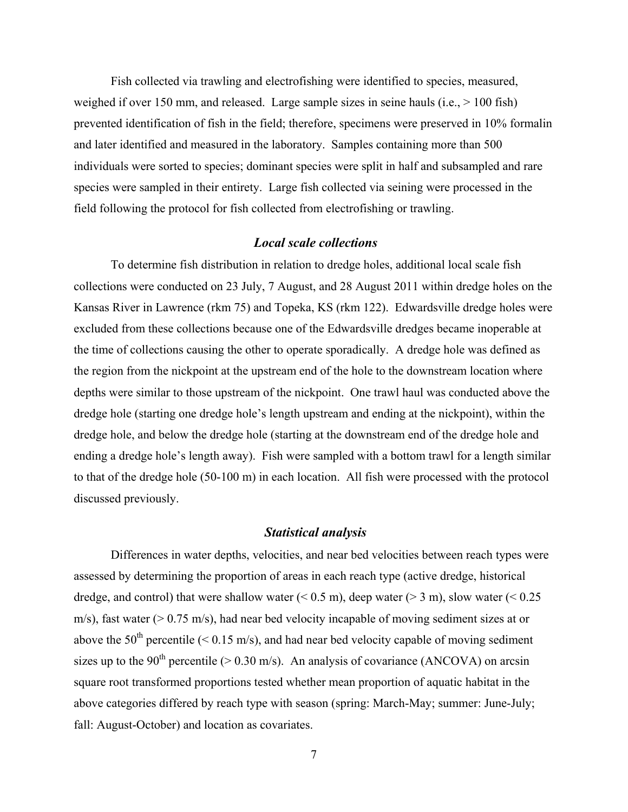Fish collected via trawling and electrofishing were identified to species, measured, weighed if over 150 mm, and released. Large sample sizes in seine hauls (i.e.,  $> 100$  fish) prevented identification of fish in the field; therefore, specimens were preserved in 10% formalin and later identified and measured in the laboratory. Samples containing more than 500 individuals were sorted to species; dominant species were split in half and subsampled and rare species were sampled in their entirety. Large fish collected via seining were processed in the field following the protocol for fish collected from electrofishing or trawling.

#### *Local scale collections*

To determine fish distribution in relation to dredge holes, additional local scale fish collections were conducted on 23 July, 7 August, and 28 August 2011 within dredge holes on the Kansas River in Lawrence (rkm 75) and Topeka, KS (rkm 122). Edwardsville dredge holes were excluded from these collections because one of the Edwardsville dredges became inoperable at the time of collections causing the other to operate sporadically. A dredge hole was defined as the region from the nickpoint at the upstream end of the hole to the downstream location where depths were similar to those upstream of the nickpoint. One trawl haul was conducted above the dredge hole (starting one dredge hole's length upstream and ending at the nickpoint), within the dredge hole, and below the dredge hole (starting at the downstream end of the dredge hole and ending a dredge hole's length away). Fish were sampled with a bottom trawl for a length similar to that of the dredge hole (50-100 m) in each location. All fish were processed with the protocol discussed previously.

#### *Statistical analysis*

Differences in water depths, velocities, and near bed velocities between reach types were assessed by determining the proportion of areas in each reach type (active dredge, historical dredge, and control) that were shallow water  $(< 0.5 \text{ m})$ , deep water  $(> 3 \text{ m})$ , slow water  $(< 0.25 \text{ m})$ m/s), fast water (> 0.75 m/s), had near bed velocity incapable of moving sediment sizes at or above the 50<sup>th</sup> percentile ( $\leq$  0.15 m/s), and had near bed velocity capable of moving sediment sizes up to the 90<sup>th</sup> percentile ( $> 0.30$  m/s). An analysis of covariance (ANCOVA) on arcsin square root transformed proportions tested whether mean proportion of aquatic habitat in the above categories differed by reach type with season (spring: March-May; summer: June-July; fall: August-October) and location as covariates.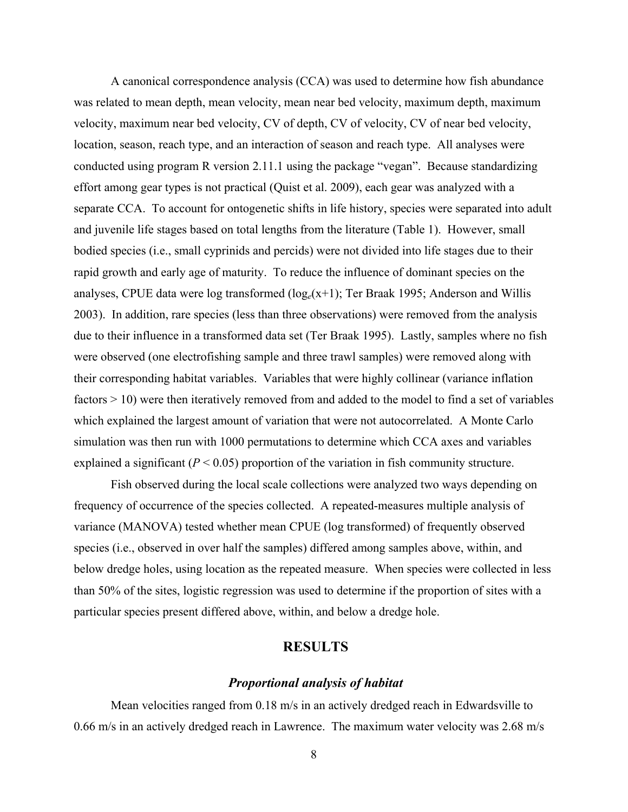A canonical correspondence analysis (CCA) was used to determine how fish abundance was related to mean depth, mean velocity, mean near bed velocity, maximum depth, maximum velocity, maximum near bed velocity, CV of depth, CV of velocity, CV of near bed velocity, location, season, reach type, and an interaction of season and reach type. All analyses were conducted using program R version 2.11.1 using the package "vegan". Because standardizing effort among gear types is not practical (Quist et al. 2009), each gear was analyzed with a separate CCA. To account for ontogenetic shifts in life history, species were separated into adult and juvenile life stages based on total lengths from the literature (Table 1). However, small bodied species (i.e., small cyprinids and percids) were not divided into life stages due to their rapid growth and early age of maturity. To reduce the influence of dominant species on the analyses, CPUE data were log transformed (log*e*(x+1); Ter Braak 1995; Anderson and Willis 2003). In addition, rare species (less than three observations) were removed from the analysis due to their influence in a transformed data set (Ter Braak 1995). Lastly, samples where no fish were observed (one electrofishing sample and three trawl samples) were removed along with their corresponding habitat variables. Variables that were highly collinear (variance inflation factors > 10) were then iteratively removed from and added to the model to find a set of variables which explained the largest amount of variation that were not autocorrelated. A Monte Carlo simulation was then run with 1000 permutations to determine which CCA axes and variables explained a significant  $(P < 0.05)$  proportion of the variation in fish community structure.

Fish observed during the local scale collections were analyzed two ways depending on frequency of occurrence of the species collected. A repeated-measures multiple analysis of variance (MANOVA) tested whether mean CPUE (log transformed) of frequently observed species (i.e., observed in over half the samples) differed among samples above, within, and below dredge holes, using location as the repeated measure. When species were collected in less than 50% of the sites, logistic regression was used to determine if the proportion of sites with a particular species present differed above, within, and below a dredge hole.

### **RESULTS**

#### *Proportional analysis of habitat*

Mean velocities ranged from 0.18 m/s in an actively dredged reach in Edwardsville to 0.66 m/s in an actively dredged reach in Lawrence. The maximum water velocity was 2.68 m/s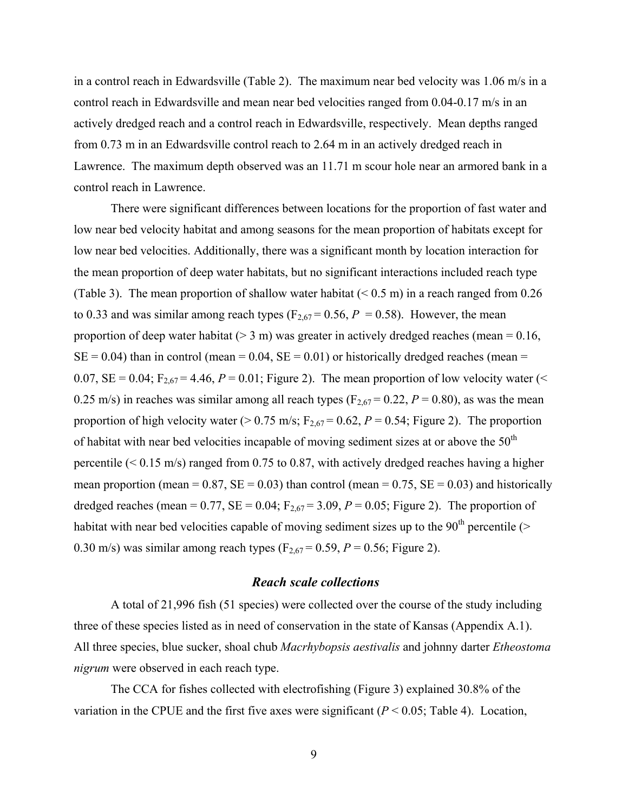in a control reach in Edwardsville (Table 2). The maximum near bed velocity was 1.06 m/s in a control reach in Edwardsville and mean near bed velocities ranged from 0.04-0.17 m/s in an actively dredged reach and a control reach in Edwardsville, respectively. Mean depths ranged from 0.73 m in an Edwardsville control reach to 2.64 m in an actively dredged reach in Lawrence. The maximum depth observed was an 11.71 m scour hole near an armored bank in a control reach in Lawrence.

There were significant differences between locations for the proportion of fast water and low near bed velocity habitat and among seasons for the mean proportion of habitats except for low near bed velocities. Additionally, there was a significant month by location interaction for the mean proportion of deep water habitats, but no significant interactions included reach type (Table 3). The mean proportion of shallow water habitat  $(< 0.5 \text{ m})$  in a reach ranged from 0.26 to 0.33 and was similar among reach types ( $F_{2,67}$  = 0.56, *P* = 0.58). However, the mean proportion of deep water habitat ( $> 3$  m) was greater in actively dredged reaches (mean = 0.16,  $SE = 0.04$ ) than in control (mean = 0.04,  $SE = 0.01$ ) or historically dredged reaches (mean = 0.07,  $SE = 0.04$ ;  $F_{2,67} = 4.46$ ,  $P = 0.01$ ; Figure 2). The mean proportion of low velocity water (< 0.25 m/s) in reaches was similar among all reach types ( $F_{2,67} = 0.22$ ,  $P = 0.80$ ), as was the mean proportion of high velocity water ( $> 0.75$  m/s;  $F_{2.67} = 0.62$ ,  $P = 0.54$ ; Figure 2). The proportion of habitat with near bed velocities incapable of moving sediment sizes at or above the  $50<sup>th</sup>$ percentile  $( $0.15 \text{ m/s}$ )$  ranged from 0.75 to 0.87, with actively dredged reaches having a higher mean proportion (mean =  $0.87$ , SE =  $0.03$ ) than control (mean =  $0.75$ , SE =  $0.03$ ) and historically dredged reaches (mean =  $0.77$ , SE =  $0.04$ ; F<sub>2,67</sub> =  $3.09$ ,  $P = 0.05$ ; Figure 2). The proportion of habitat with near bed velocities capable of moving sediment sizes up to the  $90<sup>th</sup>$  percentile (> 0.30 m/s) was similar among reach types  $(F_{2,67} = 0.59, P = 0.56;$  Figure 2).

#### *Reach scale collections*

A total of 21,996 fish (51 species) were collected over the course of the study including three of these species listed as in need of conservation in the state of Kansas (Appendix A.1). All three species, blue sucker, shoal chub *Macrhybopsis aestivalis* and johnny darter *Etheostoma nigrum* were observed in each reach type.

The CCA for fishes collected with electrofishing (Figure 3) explained 30.8% of the variation in the CPUE and the first five axes were significant  $(P < 0.05$ ; Table 4). Location,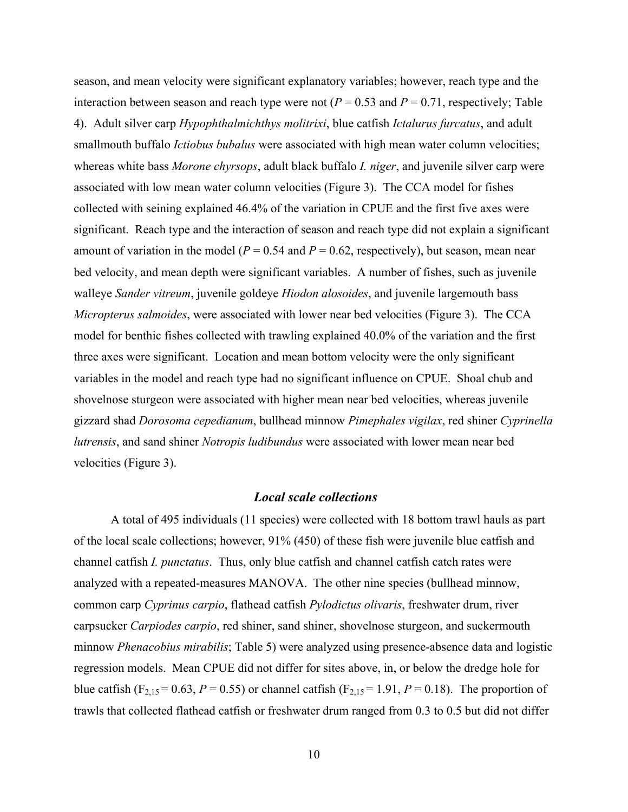season, and mean velocity were significant explanatory variables; however, reach type and the interaction between season and reach type were not ( $P = 0.53$  and  $P = 0.71$ , respectively; Table 4). Adult silver carp *Hypophthalmichthys molitrixi*, blue catfish *Ictalurus furcatus*, and adult smallmouth buffalo *Ictiobus bubalus* were associated with high mean water column velocities; whereas white bass *Morone chyrsops*, adult black buffalo *I. niger*, and juvenile silver carp were associated with low mean water column velocities (Figure 3). The CCA model for fishes collected with seining explained 46.4% of the variation in CPUE and the first five axes were significant. Reach type and the interaction of season and reach type did not explain a significant amount of variation in the model ( $P = 0.54$  and  $P = 0.62$ , respectively), but season, mean near bed velocity, and mean depth were significant variables. A number of fishes, such as juvenile walleye *Sander vitreum*, juvenile goldeye *Hiodon alosoides*, and juvenile largemouth bass *Micropterus salmoides*, were associated with lower near bed velocities (Figure 3). The CCA model for benthic fishes collected with trawling explained 40.0% of the variation and the first three axes were significant. Location and mean bottom velocity were the only significant variables in the model and reach type had no significant influence on CPUE. Shoal chub and shovelnose sturgeon were associated with higher mean near bed velocities, whereas juvenile gizzard shad *Dorosoma cepedianum*, bullhead minnow *Pimephales vigilax*, red shiner *Cyprinella lutrensis*, and sand shiner *Notropis ludibundus* were associated with lower mean near bed velocities (Figure 3).

### *Local scale collections*

A total of 495 individuals (11 species) were collected with 18 bottom trawl hauls as part of the local scale collections; however, 91% (450) of these fish were juvenile blue catfish and channel catfish *I. punctatus*. Thus, only blue catfish and channel catfish catch rates were analyzed with a repeated-measures MANOVA. The other nine species (bullhead minnow, common carp *Cyprinus carpio*, flathead catfish *Pylodictus olivaris*, freshwater drum, river carpsucker *Carpiodes carpio*, red shiner, sand shiner, shovelnose sturgeon, and suckermouth minnow *Phenacobius mirabilis*; Table 5) were analyzed using presence-absence data and logistic regression models. Mean CPUE did not differ for sites above, in, or below the dredge hole for blue catfish (F<sub>2,15</sub> = 0.63, *P* = 0.55) or channel catfish (F<sub>2,15</sub> = 1.91, *P* = 0.18). The proportion of trawls that collected flathead catfish or freshwater drum ranged from 0.3 to 0.5 but did not differ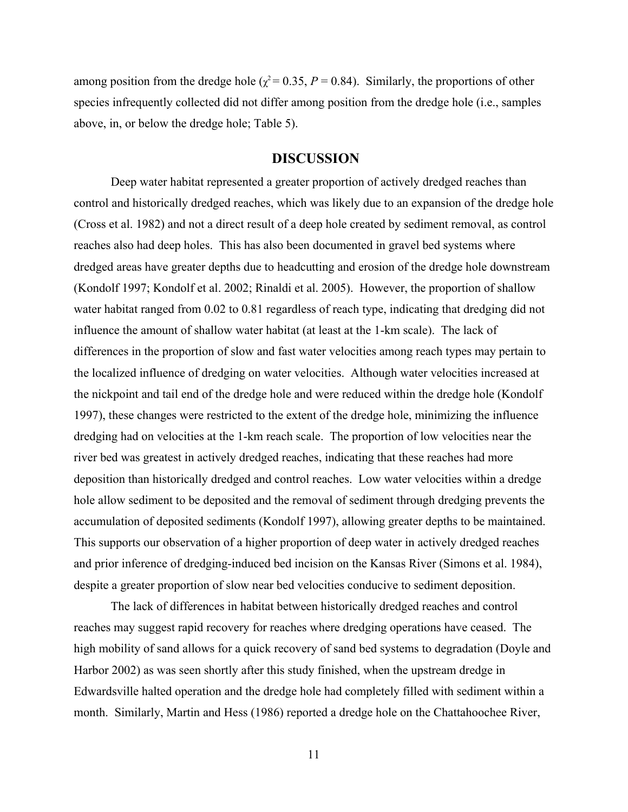among position from the dredge hole ( $\chi^2$  = 0.35, *P* = 0.84). Similarly, the proportions of other species infrequently collected did not differ among position from the dredge hole (i.e., samples above, in, or below the dredge hole; Table 5).

### **DISCUSSION**

Deep water habitat represented a greater proportion of actively dredged reaches than control and historically dredged reaches, which was likely due to an expansion of the dredge hole (Cross et al. 1982) and not a direct result of a deep hole created by sediment removal, as control reaches also had deep holes. This has also been documented in gravel bed systems where dredged areas have greater depths due to headcutting and erosion of the dredge hole downstream (Kondolf 1997; Kondolf et al. 2002; Rinaldi et al. 2005). However, the proportion of shallow water habitat ranged from 0.02 to 0.81 regardless of reach type, indicating that dredging did not influence the amount of shallow water habitat (at least at the 1-km scale). The lack of differences in the proportion of slow and fast water velocities among reach types may pertain to the localized influence of dredging on water velocities. Although water velocities increased at the nickpoint and tail end of the dredge hole and were reduced within the dredge hole (Kondolf 1997), these changes were restricted to the extent of the dredge hole, minimizing the influence dredging had on velocities at the 1-km reach scale. The proportion of low velocities near the river bed was greatest in actively dredged reaches, indicating that these reaches had more deposition than historically dredged and control reaches. Low water velocities within a dredge hole allow sediment to be deposited and the removal of sediment through dredging prevents the accumulation of deposited sediments (Kondolf 1997), allowing greater depths to be maintained. This supports our observation of a higher proportion of deep water in actively dredged reaches and prior inference of dredging-induced bed incision on the Kansas River (Simons et al. 1984), despite a greater proportion of slow near bed velocities conducive to sediment deposition.

The lack of differences in habitat between historically dredged reaches and control reaches may suggest rapid recovery for reaches where dredging operations have ceased. The high mobility of sand allows for a quick recovery of sand bed systems to degradation (Doyle and Harbor 2002) as was seen shortly after this study finished, when the upstream dredge in Edwardsville halted operation and the dredge hole had completely filled with sediment within a month. Similarly, Martin and Hess (1986) reported a dredge hole on the Chattahoochee River,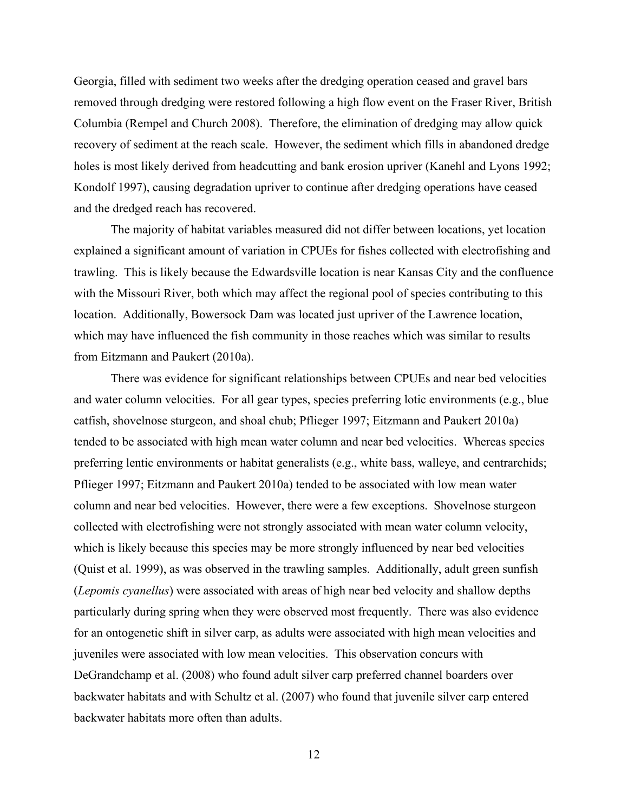Georgia, filled with sediment two weeks after the dredging operation ceased and gravel bars removed through dredging were restored following a high flow event on the Fraser River, British Columbia (Rempel and Church 2008). Therefore, the elimination of dredging may allow quick recovery of sediment at the reach scale. However, the sediment which fills in abandoned dredge holes is most likely derived from headcutting and bank erosion upriver (Kanehl and Lyons 1992; Kondolf 1997), causing degradation upriver to continue after dredging operations have ceased and the dredged reach has recovered.

The majority of habitat variables measured did not differ between locations, yet location explained a significant amount of variation in CPUEs for fishes collected with electrofishing and trawling. This is likely because the Edwardsville location is near Kansas City and the confluence with the Missouri River, both which may affect the regional pool of species contributing to this location. Additionally, Bowersock Dam was located just upriver of the Lawrence location, which may have influenced the fish community in those reaches which was similar to results from Eitzmann and Paukert (2010a).

There was evidence for significant relationships between CPUEs and near bed velocities and water column velocities. For all gear types, species preferring lotic environments (e.g., blue catfish, shovelnose sturgeon, and shoal chub; Pflieger 1997; Eitzmann and Paukert 2010a) tended to be associated with high mean water column and near bed velocities. Whereas species preferring lentic environments or habitat generalists (e.g., white bass, walleye, and centrarchids; Pflieger 1997; Eitzmann and Paukert 2010a) tended to be associated with low mean water column and near bed velocities. However, there were a few exceptions. Shovelnose sturgeon collected with electrofishing were not strongly associated with mean water column velocity, which is likely because this species may be more strongly influenced by near bed velocities (Quist et al. 1999), as was observed in the trawling samples. Additionally, adult green sunfish (*Lepomis cyanellus*) were associated with areas of high near bed velocity and shallow depths particularly during spring when they were observed most frequently. There was also evidence for an ontogenetic shift in silver carp, as adults were associated with high mean velocities and juveniles were associated with low mean velocities. This observation concurs with DeGrandchamp et al. (2008) who found adult silver carp preferred channel boarders over backwater habitats and with Schultz et al. (2007) who found that juvenile silver carp entered backwater habitats more often than adults.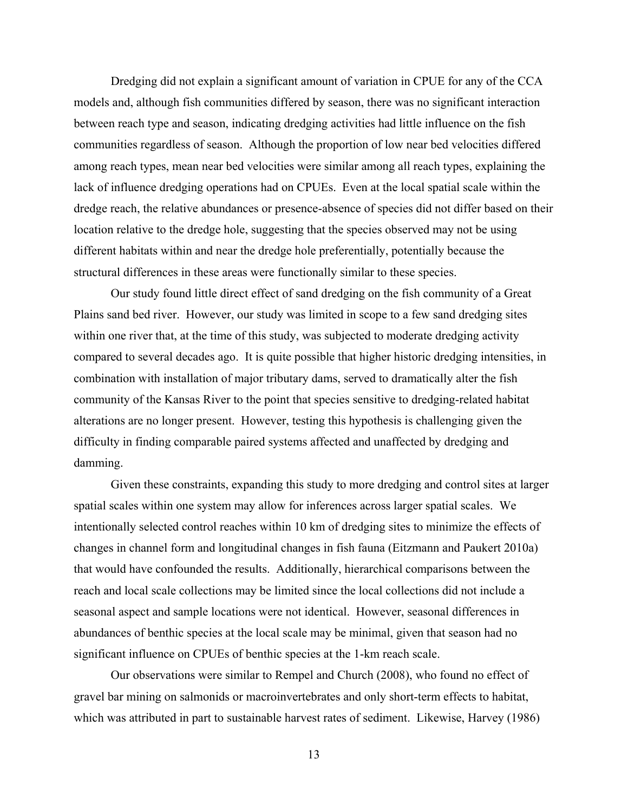Dredging did not explain a significant amount of variation in CPUE for any of the CCA models and, although fish communities differed by season, there was no significant interaction between reach type and season, indicating dredging activities had little influence on the fish communities regardless of season. Although the proportion of low near bed velocities differed among reach types, mean near bed velocities were similar among all reach types, explaining the lack of influence dredging operations had on CPUEs. Even at the local spatial scale within the dredge reach, the relative abundances or presence-absence of species did not differ based on their location relative to the dredge hole, suggesting that the species observed may not be using different habitats within and near the dredge hole preferentially, potentially because the structural differences in these areas were functionally similar to these species.

Our study found little direct effect of sand dredging on the fish community of a Great Plains sand bed river. However, our study was limited in scope to a few sand dredging sites within one river that, at the time of this study, was subjected to moderate dredging activity compared to several decades ago. It is quite possible that higher historic dredging intensities, in combination with installation of major tributary dams, served to dramatically alter the fish community of the Kansas River to the point that species sensitive to dredging-related habitat alterations are no longer present. However, testing this hypothesis is challenging given the difficulty in finding comparable paired systems affected and unaffected by dredging and damming.

Given these constraints, expanding this study to more dredging and control sites at larger spatial scales within one system may allow for inferences across larger spatial scales. We intentionally selected control reaches within 10 km of dredging sites to minimize the effects of changes in channel form and longitudinal changes in fish fauna (Eitzmann and Paukert 2010a) that would have confounded the results. Additionally, hierarchical comparisons between the reach and local scale collections may be limited since the local collections did not include a seasonal aspect and sample locations were not identical. However, seasonal differences in abundances of benthic species at the local scale may be minimal, given that season had no significant influence on CPUEs of benthic species at the 1-km reach scale.

Our observations were similar to Rempel and Church (2008), who found no effect of gravel bar mining on salmonids or macroinvertebrates and only short-term effects to habitat, which was attributed in part to sustainable harvest rates of sediment. Likewise, Harvey (1986)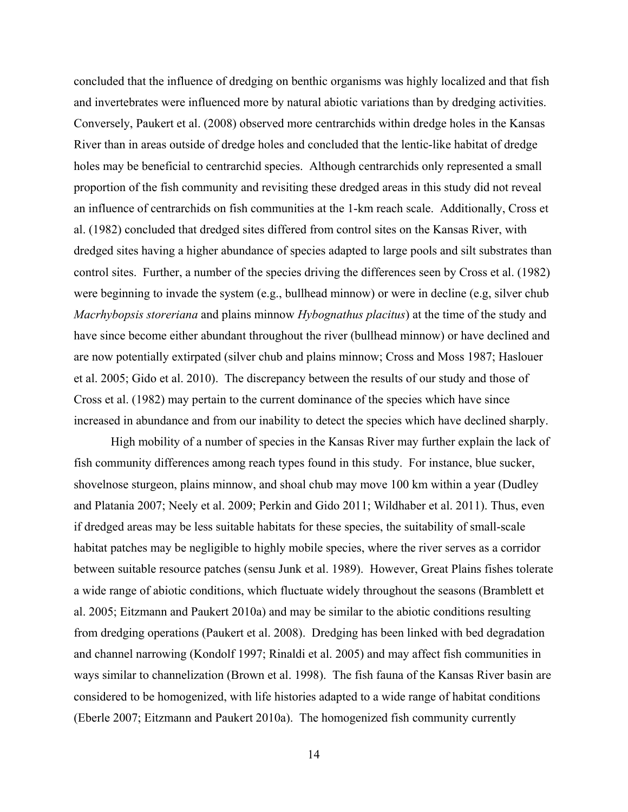concluded that the influence of dredging on benthic organisms was highly localized and that fish and invertebrates were influenced more by natural abiotic variations than by dredging activities. Conversely, Paukert et al. (2008) observed more centrarchids within dredge holes in the Kansas River than in areas outside of dredge holes and concluded that the lentic-like habitat of dredge holes may be beneficial to centrarchid species. Although centrarchids only represented a small proportion of the fish community and revisiting these dredged areas in this study did not reveal an influence of centrarchids on fish communities at the 1-km reach scale. Additionally, Cross et al. (1982) concluded that dredged sites differed from control sites on the Kansas River, with dredged sites having a higher abundance of species adapted to large pools and silt substrates than control sites. Further, a number of the species driving the differences seen by Cross et al. (1982) were beginning to invade the system (e.g., bullhead minnow) or were in decline (e.g, silver chub *Macrhybopsis storeriana* and plains minnow *Hybognathus placitus*) at the time of the study and have since become either abundant throughout the river (bullhead minnow) or have declined and are now potentially extirpated (silver chub and plains minnow; Cross and Moss 1987; Haslouer et al. 2005; Gido et al. 2010). The discrepancy between the results of our study and those of Cross et al. (1982) may pertain to the current dominance of the species which have since increased in abundance and from our inability to detect the species which have declined sharply.

High mobility of a number of species in the Kansas River may further explain the lack of fish community differences among reach types found in this study. For instance, blue sucker, shovelnose sturgeon, plains minnow, and shoal chub may move 100 km within a year (Dudley and Platania 2007; Neely et al. 2009; Perkin and Gido 2011; Wildhaber et al. 2011). Thus, even if dredged areas may be less suitable habitats for these species, the suitability of small-scale habitat patches may be negligible to highly mobile species, where the river serves as a corridor between suitable resource patches (sensu Junk et al. 1989). However, Great Plains fishes tolerate a wide range of abiotic conditions, which fluctuate widely throughout the seasons (Bramblett et al. 2005; Eitzmann and Paukert 2010a) and may be similar to the abiotic conditions resulting from dredging operations (Paukert et al. 2008). Dredging has been linked with bed degradation and channel narrowing (Kondolf 1997; Rinaldi et al. 2005) and may affect fish communities in ways similar to channelization (Brown et al. 1998). The fish fauna of the Kansas River basin are considered to be homogenized, with life histories adapted to a wide range of habitat conditions (Eberle 2007; Eitzmann and Paukert 2010a). The homogenized fish community currently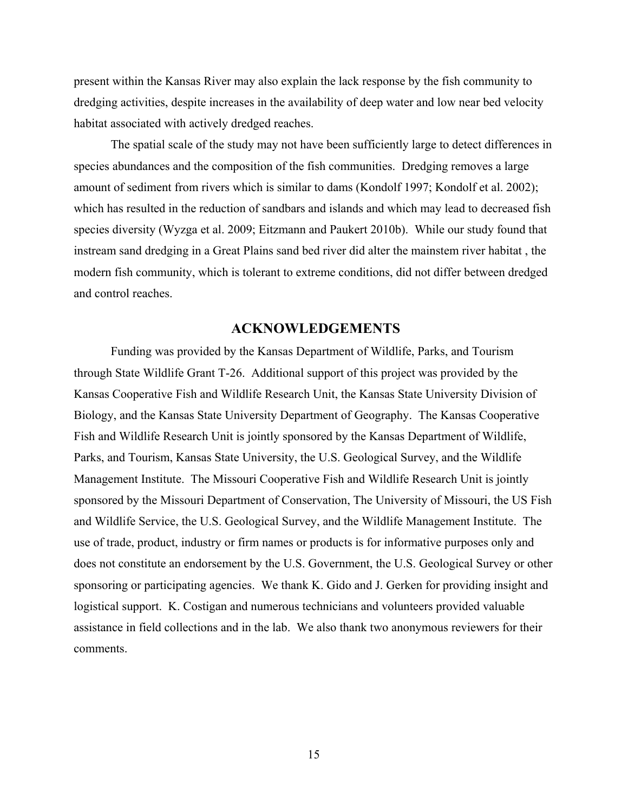present within the Kansas River may also explain the lack response by the fish community to dredging activities, despite increases in the availability of deep water and low near bed velocity habitat associated with actively dredged reaches.

The spatial scale of the study may not have been sufficiently large to detect differences in species abundances and the composition of the fish communities. Dredging removes a large amount of sediment from rivers which is similar to dams (Kondolf 1997; Kondolf et al. 2002); which has resulted in the reduction of sandbars and islands and which may lead to decreased fish species diversity (Wyzga et al. 2009; Eitzmann and Paukert 2010b). While our study found that instream sand dredging in a Great Plains sand bed river did alter the mainstem river habitat , the modern fish community, which is tolerant to extreme conditions, did not differ between dredged and control reaches.

### **ACKNOWLEDGEMENTS**

Funding was provided by the Kansas Department of Wildlife, Parks, and Tourism through State Wildlife Grant T-26. Additional support of this project was provided by the Kansas Cooperative Fish and Wildlife Research Unit, the Kansas State University Division of Biology, and the Kansas State University Department of Geography. The Kansas Cooperative Fish and Wildlife Research Unit is jointly sponsored by the Kansas Department of Wildlife, Parks, and Tourism, Kansas State University, the U.S. Geological Survey, and the Wildlife Management Institute. The Missouri Cooperative Fish and Wildlife Research Unit is jointly sponsored by the Missouri Department of Conservation, The University of Missouri, the US Fish and Wildlife Service, the U.S. Geological Survey, and the Wildlife Management Institute. The use of trade, product, industry or firm names or products is for informative purposes only and does not constitute an endorsement by the U.S. Government, the U.S. Geological Survey or other sponsoring or participating agencies. We thank K. Gido and J. Gerken for providing insight and logistical support. K. Costigan and numerous technicians and volunteers provided valuable assistance in field collections and in the lab. We also thank two anonymous reviewers for their comments.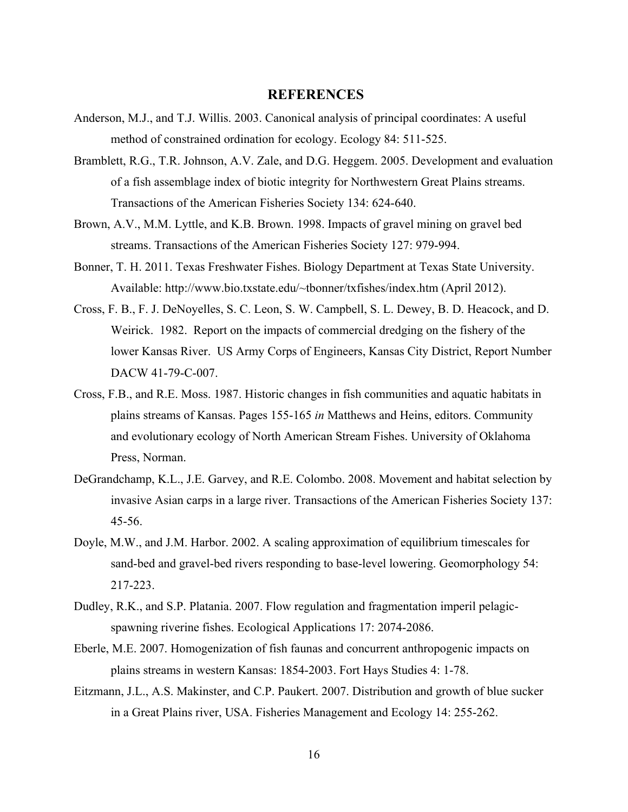# **REFERENCES**

- Anderson, M.J., and T.J. Willis. 2003. Canonical analysis of principal coordinates: A useful method of constrained ordination for ecology. Ecology 84: 511-525.
- Bramblett, R.G., T.R. Johnson, A.V. Zale, and D.G. Heggem. 2005. Development and evaluation of a fish assemblage index of biotic integrity for Northwestern Great Plains streams. Transactions of the American Fisheries Society 134: 624-640.
- Brown, A.V., M.M. Lyttle, and K.B. Brown. 1998. Impacts of gravel mining on gravel bed streams. Transactions of the American Fisheries Society 127: 979-994.
- Bonner, T. H. 2011. Texas Freshwater Fishes. Biology Department at Texas State University. Available: http://www.bio.txstate.edu/~tbonner/txfishes/index.htm (April 2012).
- Cross, F. B., F. J. DeNoyelles, S. C. Leon, S. W. Campbell, S. L. Dewey, B. D. Heacock, and D. Weirick. 1982. Report on the impacts of commercial dredging on the fishery of the lower Kansas River. US Army Corps of Engineers, Kansas City District, Report Number DACW 41-79-C-007.
- Cross, F.B., and R.E. Moss. 1987. Historic changes in fish communities and aquatic habitats in plains streams of Kansas. Pages 155-165 *in* Matthews and Heins, editors. Community and evolutionary ecology of North American Stream Fishes. University of Oklahoma Press, Norman.
- DeGrandchamp, K.L., J.E. Garvey, and R.E. Colombo. 2008. Movement and habitat selection by invasive Asian carps in a large river. Transactions of the American Fisheries Society 137: 45-56.
- Doyle, M.W., and J.M. Harbor. 2002. A scaling approximation of equilibrium timescales for sand-bed and gravel-bed rivers responding to base-level lowering. Geomorphology 54: 217-223.
- Dudley, R.K., and S.P. Platania. 2007. Flow regulation and fragmentation imperil pelagicspawning riverine fishes. Ecological Applications 17: 2074-2086.
- Eberle, M.E. 2007. Homogenization of fish faunas and concurrent anthropogenic impacts on plains streams in western Kansas: 1854-2003. Fort Hays Studies 4: 1-78.
- Eitzmann, J.L., A.S. Makinster, and C.P. Paukert. 2007. Distribution and growth of blue sucker in a Great Plains river, USA. Fisheries Management and Ecology 14: 255-262.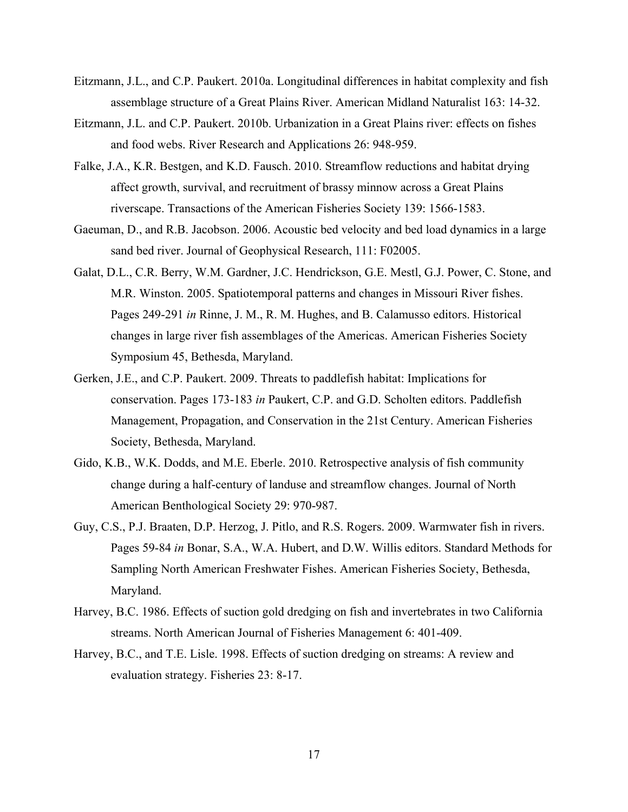- Eitzmann, J.L., and C.P. Paukert. 2010a. Longitudinal differences in habitat complexity and fish assemblage structure of a Great Plains River. American Midland Naturalist 163: 14-32.
- Eitzmann, J.L. and C.P. Paukert. 2010b. Urbanization in a Great Plains river: effects on fishes and food webs. River Research and Applications 26: 948-959.
- Falke, J.A., K.R. Bestgen, and K.D. Fausch. 2010. Streamflow reductions and habitat drying affect growth, survival, and recruitment of brassy minnow across a Great Plains riverscape. Transactions of the American Fisheries Society 139: 1566-1583.
- Gaeuman, D., and R.B. Jacobson. 2006. Acoustic bed velocity and bed load dynamics in a large sand bed river. Journal of Geophysical Research, 111: F02005.
- Galat, D.L., C.R. Berry, W.M. Gardner, J.C. Hendrickson, G.E. Mestl, G.J. Power, C. Stone, and M.R. Winston. 2005. Spatiotemporal patterns and changes in Missouri River fishes. Pages 249-291 *in* Rinne, J. M., R. M. Hughes, and B. Calamusso editors. Historical changes in large river fish assemblages of the Americas. American Fisheries Society Symposium 45, Bethesda, Maryland.
- Gerken, J.E., and C.P. Paukert. 2009. Threats to paddlefish habitat: Implications for conservation. Pages 173-183 *in* Paukert, C.P. and G.D. Scholten editors. Paddlefish Management, Propagation, and Conservation in the 21st Century. American Fisheries Society, Bethesda, Maryland.
- Gido, K.B., W.K. Dodds, and M.E. Eberle. 2010. Retrospective analysis of fish community change during a half-century of landuse and streamflow changes. Journal of North American Benthological Society 29: 970-987.
- Guy, C.S., P.J. Braaten, D.P. Herzog, J. Pitlo, and R.S. Rogers. 2009. Warmwater fish in rivers. Pages 59-84 *in* Bonar, S.A., W.A. Hubert, and D.W. Willis editors. Standard Methods for Sampling North American Freshwater Fishes. American Fisheries Society, Bethesda, Maryland.
- Harvey, B.C. 1986. Effects of suction gold dredging on fish and invertebrates in two California streams. North American Journal of Fisheries Management 6: 401-409.
- Harvey, B.C., and T.E. Lisle. 1998. Effects of suction dredging on streams: A review and evaluation strategy. Fisheries 23: 8-17.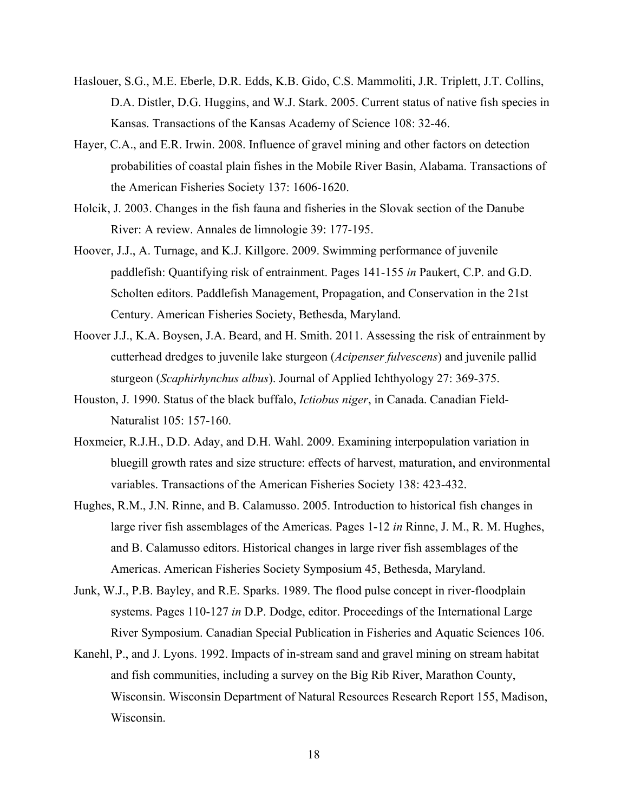- Haslouer, S.G., M.E. Eberle, D.R. Edds, K.B. Gido, C.S. Mammoliti, J.R. Triplett, J.T. Collins, D.A. Distler, D.G. Huggins, and W.J. Stark. 2005. Current status of native fish species in Kansas. Transactions of the Kansas Academy of Science 108: 32-46.
- Hayer, C.A., and E.R. Irwin. 2008. Influence of gravel mining and other factors on detection probabilities of coastal plain fishes in the Mobile River Basin, Alabama. Transactions of the American Fisheries Society 137: 1606-1620.
- Holcik, J. 2003. Changes in the fish fauna and fisheries in the Slovak section of the Danube River: A review. Annales de limnologie 39: 177-195.
- Hoover, J.J., A. Turnage, and K.J. Killgore. 2009. Swimming performance of juvenile paddlefish: Quantifying risk of entrainment. Pages 141-155 *in* Paukert, C.P. and G.D. Scholten editors. Paddlefish Management, Propagation, and Conservation in the 21st Century. American Fisheries Society, Bethesda, Maryland.
- Hoover J.J., K.A. Boysen, J.A. Beard, and H. Smith. 2011. Assessing the risk of entrainment by cutterhead dredges to juvenile lake sturgeon (*Acipenser fulvescens*) and juvenile pallid sturgeon (*Scaphirhynchus albus*). Journal of Applied Ichthyology 27: 369-375.
- Houston, J. 1990. Status of the black buffalo, *Ictiobus niger*, in Canada. Canadian Field-Naturalist 105: 157-160.
- Hoxmeier, R.J.H., D.D. Aday, and D.H. Wahl. 2009. Examining interpopulation variation in bluegill growth rates and size structure: effects of harvest, maturation, and environmental variables. Transactions of the American Fisheries Society 138: 423-432.
- Hughes, R.M., J.N. Rinne, and B. Calamusso. 2005. Introduction to historical fish changes in large river fish assemblages of the Americas. Pages 1-12 *in* Rinne, J. M., R. M. Hughes, and B. Calamusso editors. Historical changes in large river fish assemblages of the Americas. American Fisheries Society Symposium 45, Bethesda, Maryland.
- Junk, W.J., P.B. Bayley, and R.E. Sparks. 1989. The flood pulse concept in river-floodplain systems. Pages 110-127 *in* D.P. Dodge, editor. Proceedings of the International Large River Symposium. Canadian Special Publication in Fisheries and Aquatic Sciences 106.
- Kanehl, P., and J. Lyons. 1992. Impacts of in-stream sand and gravel mining on stream habitat and fish communities, including a survey on the Big Rib River, Marathon County, Wisconsin. Wisconsin Department of Natural Resources Research Report 155, Madison, Wisconsin.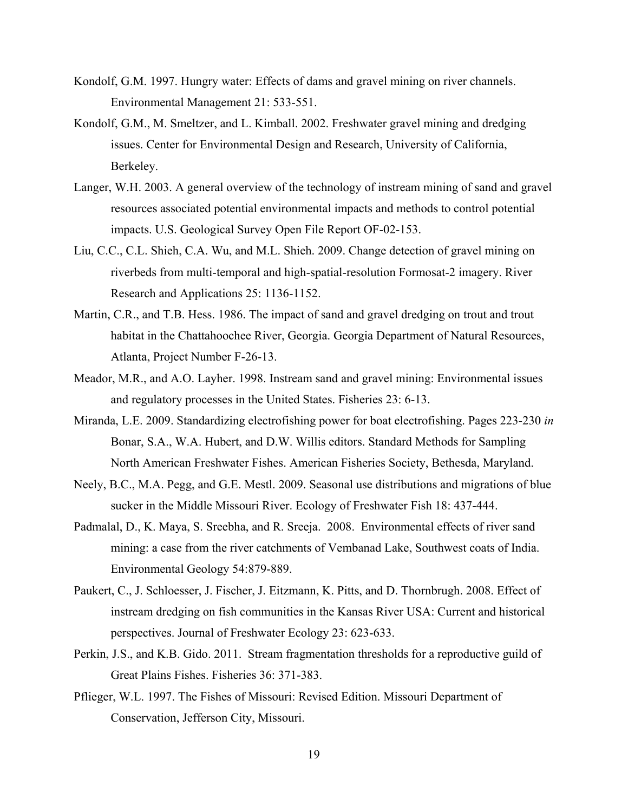- Kondolf, G.M. 1997. Hungry water: Effects of dams and gravel mining on river channels. Environmental Management 21: 533-551.
- Kondolf, G.M., M. Smeltzer, and L. Kimball. 2002. Freshwater gravel mining and dredging issues. Center for Environmental Design and Research, University of California, Berkeley.
- Langer, W.H. 2003. A general overview of the technology of instream mining of sand and gravel resources associated potential environmental impacts and methods to control potential impacts. U.S. Geological Survey Open File Report OF-02-153.
- Liu, C.C., C.L. Shieh, C.A. Wu, and M.L. Shieh. 2009. Change detection of gravel mining on riverbeds from multi-temporal and high-spatial-resolution Formosat-2 imagery. River Research and Applications 25: 1136-1152.
- Martin, C.R., and T.B. Hess. 1986. The impact of sand and gravel dredging on trout and trout habitat in the Chattahoochee River, Georgia. Georgia Department of Natural Resources, Atlanta, Project Number F-26-13.
- Meador, M.R., and A.O. Layher. 1998. Instream sand and gravel mining: Environmental issues and regulatory processes in the United States. Fisheries 23: 6-13.
- Miranda, L.E. 2009. Standardizing electrofishing power for boat electrofishing. Pages 223-230 *in* Bonar, S.A., W.A. Hubert, and D.W. Willis editors. Standard Methods for Sampling North American Freshwater Fishes. American Fisheries Society, Bethesda, Maryland.
- Neely, B.C., M.A. Pegg, and G.E. Mestl. 2009. Seasonal use distributions and migrations of blue sucker in the Middle Missouri River. Ecology of Freshwater Fish 18: 437-444.
- Padmalal, D., K. Maya, S. Sreebha, and R. Sreeja. 2008. Environmental effects of river sand mining: a case from the river catchments of Vembanad Lake, Southwest coats of India. Environmental Geology 54:879-889.
- Paukert, C., J. Schloesser, J. Fischer, J. Eitzmann, K. Pitts, and D. Thornbrugh. 2008. Effect of instream dredging on fish communities in the Kansas River USA: Current and historical perspectives. Journal of Freshwater Ecology 23: 623-633.
- Perkin, J.S., and K.B. Gido. 2011. Stream fragmentation thresholds for a reproductive guild of Great Plains Fishes. Fisheries 36: 371-383.
- Pflieger, W.L. 1997. The Fishes of Missouri: Revised Edition. Missouri Department of Conservation, Jefferson City, Missouri.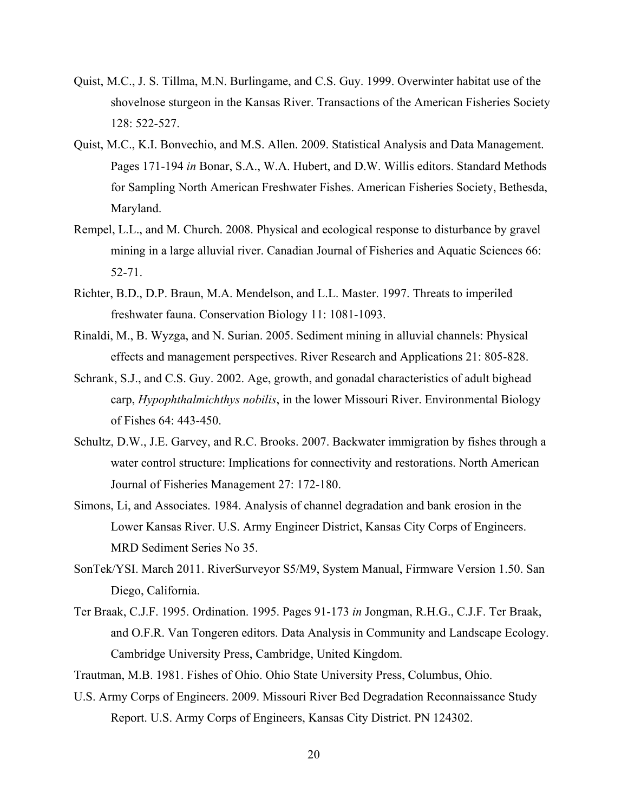- Quist, M.C., J. S. Tillma, M.N. Burlingame, and C.S. Guy. 1999. Overwinter habitat use of the shovelnose sturgeon in the Kansas River. Transactions of the American Fisheries Society 128: 522-527.
- Quist, M.C., K.I. Bonvechio, and M.S. Allen. 2009. Statistical Analysis and Data Management. Pages 171-194 *in* Bonar, S.A., W.A. Hubert, and D.W. Willis editors. Standard Methods for Sampling North American Freshwater Fishes. American Fisheries Society, Bethesda, Maryland.
- Rempel, L.L., and M. Church. 2008. Physical and ecological response to disturbance by gravel mining in a large alluvial river. Canadian Journal of Fisheries and Aquatic Sciences 66: 52-71.
- Richter, B.D., D.P. Braun, M.A. Mendelson, and L.L. Master. 1997. Threats to imperiled freshwater fauna. Conservation Biology 11: 1081-1093.
- Rinaldi, M., B. Wyzga, and N. Surian. 2005. Sediment mining in alluvial channels: Physical effects and management perspectives. River Research and Applications 21: 805-828.
- Schrank, S.J., and C.S. Guy. 2002. Age, growth, and gonadal characteristics of adult bighead carp, *Hypophthalmichthys nobilis*, in the lower Missouri River. Environmental Biology of Fishes 64: 443-450.
- Schultz, D.W., J.E. Garvey, and R.C. Brooks. 2007. Backwater immigration by fishes through a water control structure: Implications for connectivity and restorations. North American Journal of Fisheries Management 27: 172-180.
- Simons, Li, and Associates. 1984. Analysis of channel degradation and bank erosion in the Lower Kansas River. U.S. Army Engineer District, Kansas City Corps of Engineers. MRD Sediment Series No 35.
- SonTek/YSI. March 2011. RiverSurveyor S5/M9, System Manual, Firmware Version 1.50. San Diego, California.
- Ter Braak, C.J.F. 1995. Ordination. 1995. Pages 91-173 *in* Jongman, R.H.G., C.J.F. Ter Braak, and O.F.R. Van Tongeren editors. Data Analysis in Community and Landscape Ecology. Cambridge University Press, Cambridge, United Kingdom.
- Trautman, M.B. 1981. Fishes of Ohio. Ohio State University Press, Columbus, Ohio.
- U.S. Army Corps of Engineers. 2009. Missouri River Bed Degradation Reconnaissance Study Report. U.S. Army Corps of Engineers, Kansas City District. PN 124302.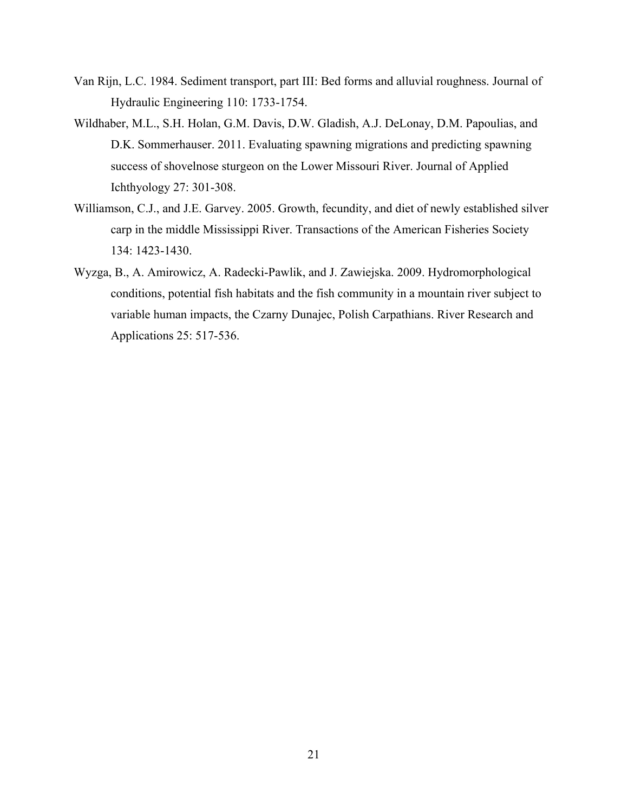- Van Rijn, L.C. 1984. Sediment transport, part III: Bed forms and alluvial roughness. Journal of Hydraulic Engineering 110: 1733-1754.
- Wildhaber, M.L., S.H. Holan, G.M. Davis, D.W. Gladish, A.J. DeLonay, D.M. Papoulias, and D.K. Sommerhauser. 2011. Evaluating spawning migrations and predicting spawning success of shovelnose sturgeon on the Lower Missouri River. Journal of Applied Ichthyology 27: 301-308.
- Williamson, C.J., and J.E. Garvey. 2005. Growth, fecundity, and diet of newly established silver carp in the middle Mississippi River. Transactions of the American Fisheries Society 134: 1423-1430.
- Wyzga, B., A. Amirowicz, A. Radecki-Pawlik, and J. Zawiejska. 2009. Hydromorphological conditions, potential fish habitats and the fish community in a mountain river subject to variable human impacts, the Czarny Dunajec, Polish Carpathians. River Research and Applications 25: 517-536.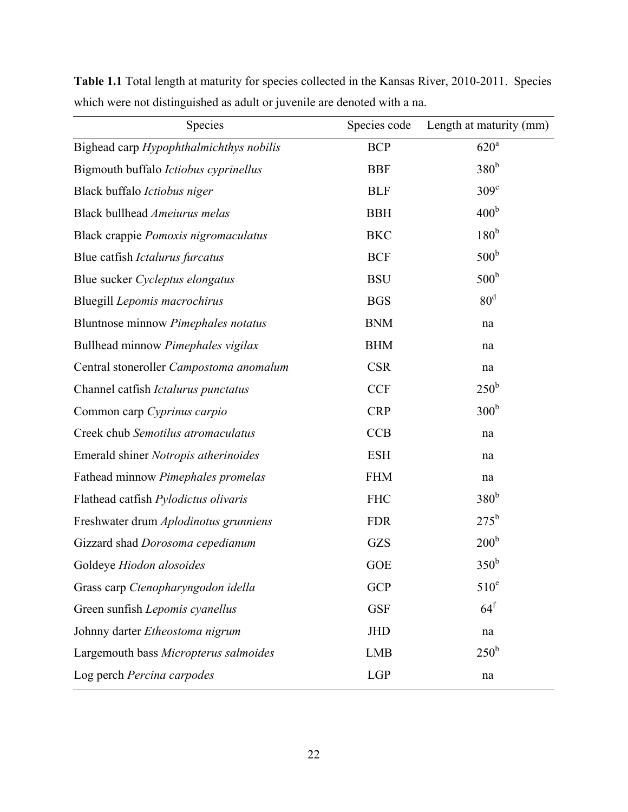| Species                                 | Species code | Length at maturity (mm) |
|-----------------------------------------|--------------|-------------------------|
| Bighead carp Hypophthalmichthys nobilis | <b>BCP</b>   | $620^a$                 |
| Bigmouth buffalo Ictiobus cyprinellus   | <b>BBF</b>   | 380 <sup>b</sup>        |
| Black buffalo Ictiobus niger            | <b>BLF</b>   | $309^\circ$             |
| Black bullhead Ameiurus melas           | <b>BBH</b>   | 400 <sup>b</sup>        |
| Black crappie Pomoxis nigromaculatus    | <b>BKC</b>   | 180 <sup>b</sup>        |
| Blue catfish Ictalurus furcatus         | <b>BCF</b>   | 500 <sup>b</sup>        |
| Blue sucker Cycleptus elongatus         | <b>BSU</b>   | 500 <sup>b</sup>        |
| Bluegill Lepomis macrochirus            | <b>BGS</b>   | 80 <sup>d</sup>         |
| Bluntnose minnow Pimephales notatus     | <b>BNM</b>   | na                      |
| Bullhead minnow Pimephales vigilax      | <b>BHM</b>   | na                      |
| Central stoneroller Campostoma anomalum | <b>CSR</b>   | na                      |
| Channel catfish Ictalurus punctatus     | <b>CCF</b>   | $250^{\rm b}$           |
| Common carp Cyprinus carpio             | <b>CRP</b>   | 300 <sup>b</sup>        |
| Creek chub Semotilus atromaculatus      | <b>CCB</b>   | na                      |
| Emerald shiner Notropis atherinoides    | <b>ESH</b>   | na                      |
| Fathead minnow Pimephales promelas      | <b>FHM</b>   | na                      |
| Flathead catfish Pylodictus olivaris    | <b>FHC</b>   | 380 <sup>b</sup>        |
| Freshwater drum Aplodinotus grunniens   | <b>FDR</b>   | $275^{\rm b}$           |
| Gizzard shad Dorosoma cepedianum        | <b>GZS</b>   | 200 <sup>b</sup>        |
| Goldeye Hiodon alosoides                | <b>GOE</b>   | 350 <sup>b</sup>        |
| Grass carp Ctenopharyngodon idella      | <b>GCP</b>   | $510^e$                 |
| Green sunfish Lepomis cyanellus         | <b>GSF</b>   | $64^{\mathrm{f}}$       |
| Johnny darter Etheostoma nigrum         | <b>JHD</b>   | na                      |
| Largemouth bass Micropterus salmoides   | <b>LMB</b>   | $250^{\rm b}$           |
| Log perch Percina carpodes              | LGP          | na                      |

**Table 1.1** Total length at maturity for species collected in the Kansas River, 2010-2011. Species which were not distinguished as adult or juvenile are denoted with a na.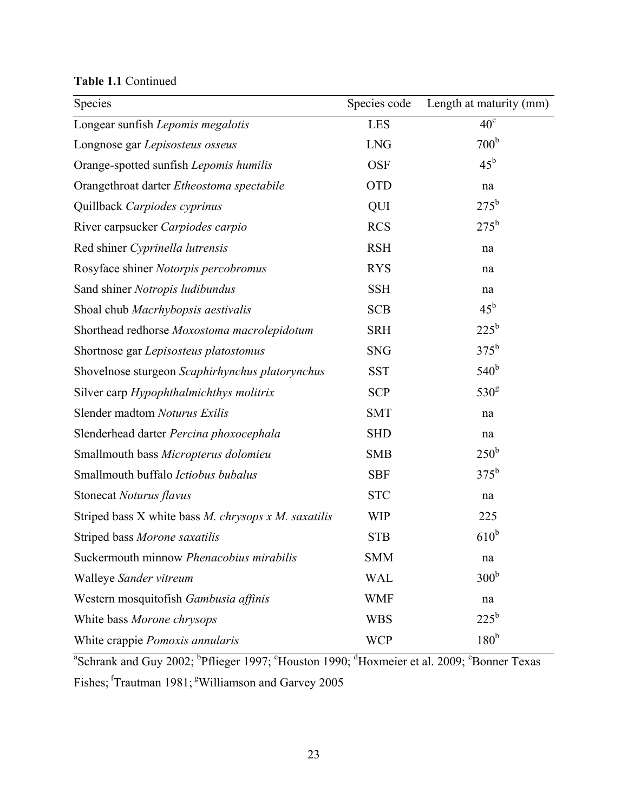**Table 1.1** Continued

| Species                                              | Species code | Length at maturity (mm) |
|------------------------------------------------------|--------------|-------------------------|
| Longear sunfish Lepomis megalotis                    | <b>LES</b>   | $40^e$                  |
| Longnose gar Lepisosteus osseus                      | <b>LNG</b>   | 700 <sup>b</sup>        |
| Orange-spotted sunfish Lepomis humilis               | <b>OSF</b>   | $45^{\rm b}$            |
| Orangethroat darter Etheostoma spectabile            | <b>OTD</b>   | na                      |
| Quillback Carpiodes cyprinus                         | QUI          | $275^{\rm b}$           |
| River carpsucker Carpiodes carpio                    | <b>RCS</b>   | $275^{\rm b}$           |
| Red shiner Cyprinella lutrensis                      | <b>RSH</b>   | na                      |
| Rosyface shiner Notorpis percobromus                 | <b>RYS</b>   | na                      |
| Sand shiner Notropis ludibundus                      | <b>SSH</b>   | na                      |
| Shoal chub Macrhybopsis aestivalis                   | <b>SCB</b>   | $45^{\rm b}$            |
| Shorthead redhorse Moxostoma macrolepidotum          | <b>SRH</b>   | $225^{\rm b}$           |
| Shortnose gar Lepisosteus platostomus                | <b>SNG</b>   | $375^b$                 |
| Shovelnose sturgeon Scaphirhynchus platorynchus      | <b>SST</b>   | 540 <sup>b</sup>        |
| Silver carp Hypophthalmichthys molitrix              | <b>SCP</b>   | 530 <sup>g</sup>        |
| Slender madtom Noturus Exilis                        | <b>SMT</b>   | na                      |
| Slenderhead darter Percina phoxocephala              | <b>SHD</b>   | na                      |
| Smallmouth bass Micropterus dolomieu                 | <b>SMB</b>   | $250^{\rm b}$           |
| Smallmouth buffalo Ictiobus bubalus                  | <b>SBF</b>   | $375^{\rm b}$           |
| Stonecat Noturus flavus                              | <b>STC</b>   | na                      |
| Striped bass X white bass M. chrysops x M. saxatilis | <b>WIP</b>   | 225                     |
| Striped bass Morone saxatilis                        | <b>STB</b>   | $610^b$                 |
| Suckermouth minnow Phenacobius mirabilis             | <b>SMM</b>   | na                      |
| Walleye Sander vitreum                               | <b>WAL</b>   | 300 <sup>b</sup>        |
| Western mosquitofish Gambusia affinis                | WMF          | na                      |
| White bass Morone chrysops                           | <b>WBS</b>   | $225^{\rm b}$           |
| White crappie Pomoxis annularis                      | <b>WCP</b>   | 180 <sup>b</sup>        |

<sup>a</sup>Schrank and Guy 2002; <sup>b</sup>Pflieger 1997; <sup>c</sup>Houston 1990; <sup>d</sup>Hoxmeier et al. 2009; <sup>e</sup>Bonner Texas Fishes; <sup>f</sup>Trautman 1981; <sup>g</sup>Williamson and Garvey 2005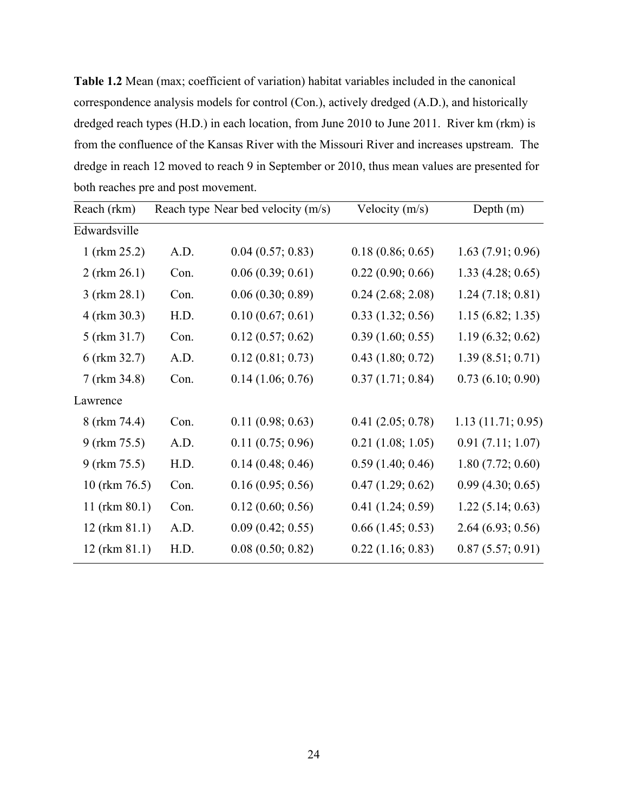**Table 1.2** Mean (max; coefficient of variation) habitat variables included in the canonical correspondence analysis models for control (Con.), actively dredged (A.D.), and historically dredged reach types (H.D.) in each location, from June 2010 to June 2011. River km (rkm) is from the confluence of the Kansas River with the Missouri River and increases upstream. The dredge in reach 12 moved to reach 9 in September or 2010, thus mean values are presented for both reaches pre and post movement.

| Reach (rkm)       |      | Reach type Near bed velocity (m/s) | Velocity $(m/s)$      | Depth $(m)$       |  |
|-------------------|------|------------------------------------|-----------------------|-------------------|--|
| Edwardsville      |      |                                    |                       |                   |  |
| 1 (rkm $25.2$ )   | A.D. | 0.04(0.57; 0.83)                   | 0.18(0.86; 0.65)      | 1.63(7.91; 0.96)  |  |
| $2$ (rkm $26.1$ ) | Con. | 0.06(0.39; 0.61)                   | 0.22(0.90; 0.66)      | 1.33(4.28; 0.65)  |  |
| $3$ (rkm $28.1$ ) | Con. | 0.06(0.30; 0.89)                   | $0.24$ $(2.68; 2.08)$ | 1.24(7.18; 0.81)  |  |
| 4 (rkm 30.3)      | H.D. | 0.10(0.67; 0.61)                   | 0.33(1.32; 0.56)      | 1.15(6.82; 1.35)  |  |
| 5 (rkm 31.7)      | Con. | 0.12(0.57; 0.62)                   | 0.39(1.60; 0.55)      | 1.19(6.32; 0.62)  |  |
| 6 (rkm 32.7)      | A.D. | 0.12(0.81; 0.73)                   | 0.43(1.80; 0.72)      | 1.39(8.51; 0.71)  |  |
| 7 (rkm 34.8)      | Con. | 0.14(1.06; 0.76)                   | 0.37(1.71; 0.84)      | 0.73(6.10; 0.90)  |  |
| Lawrence          |      |                                    |                       |                   |  |
| 8 (rkm 74.4)      | Con. | 0.11(0.98; 0.63)                   | 0.41(2.05; 0.78)      | 1.13(11.71; 0.95) |  |
| 9 (rkm 75.5)      | A.D. | 0.11(0.75; 0.96)                   | 0.21(1.08; 1.05)      | 0.91(7.11; 1.07)  |  |
| 9 (rkm 75.5)      | H.D. | 0.14(0.48; 0.46)                   | 0.59(1.40; 0.46)      | 1.80(7.72; 0.60)  |  |
| 10 (rkm 76.5)     | Con. | 0.16(0.95; 0.56)                   | 0.47(1.29; 0.62)      | 0.99(4.30; 0.65)  |  |
| 11 (rkm 80.1)     | Con. | 0.12(0.60; 0.56)                   | 0.41(1.24; 0.59)      | 1.22(5.14; 0.63)  |  |
| 12 (rkm 81.1)     | A.D. | 0.09(0.42; 0.55)                   | $0.66$ $(1.45; 0.53)$ | 2.64(6.93; 0.56)  |  |
| 12 (rkm 81.1)     | H.D. | 0.08(0.50; 0.82)                   | 0.22(1.16; 0.83)      | 0.87(5.57; 0.91)  |  |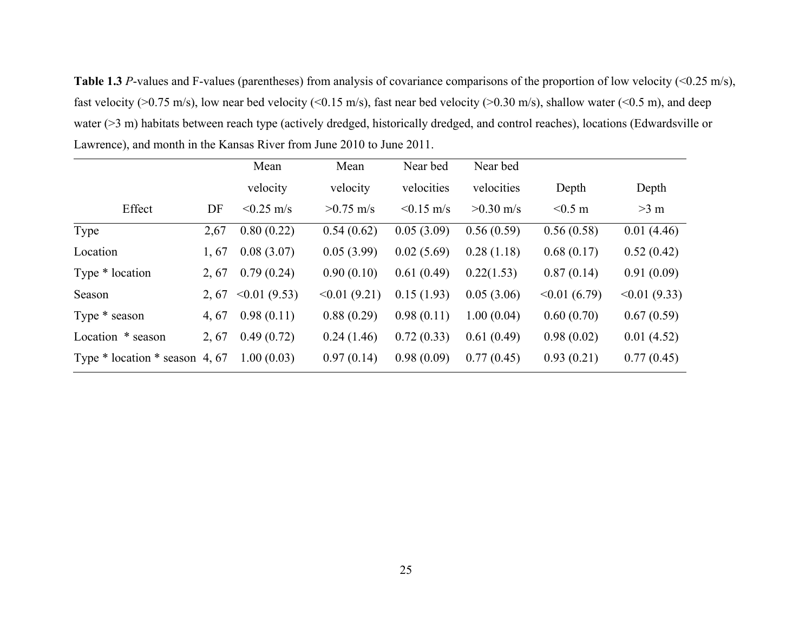**Table 1.3** *P*-values and F-values (parentheses) from analysis of covariance comparisons of the proportion of low velocity (<0.25 m/s), fast velocity ( $>0.75$  m/s), low near bed velocity ( $< 0.15$  m/s), fast near bed velocity ( $> 0.30$  m/s), shallow water ( $< 0.5$  m), and deep water (>3 m) habitats between reach type (actively dredged, historically dredged, and control reaches), locations (Edwardsville or Lawrence), and month in the Kansas River from June 2010 to June 2011.

|                                    |      | Mean              | Mean        | Near bed     | Near bed    |             |                   |
|------------------------------------|------|-------------------|-------------|--------------|-------------|-------------|-------------------|
|                                    |      | velocity          | velocity    | velocities   | velocities  | Depth       | Depth             |
| Effect                             | DF   | $< 0.25$ m/s      | $>0.75$ m/s | $< 0.15$ m/s | $>0.30$ m/s | $< 0.5$ m   | $>3$ m            |
| Type                               | 2,67 | 0.80(0.22)        | 0.54(0.62)  | 0.05(3.09)   | 0.56(0.59)  | 0.56(0.58)  | 0.01(4.46)        |
| Location                           | 1,67 | 0.08(3.07)        | 0.05(3.99)  | 0.02(5.69)   | 0.28(1.18)  | 0.68(0.17)  | 0.52(0.42)        |
| Type * location                    | 2,67 | 0.79(0.24)        | 0.90(0.10)  | 0.61(0.49)   | 0.22(1.53)  | 0.87(0.14)  | 0.91(0.09)        |
| Season                             | 2,67 | $\leq 0.01(9.53)$ | <0.01(9.21) | 0.15(1.93)   | 0.05(3.06)  | <0.01(6.79) | $\leq 0.01(9.33)$ |
| Type * season                      | 4,67 | 0.98(0.11)        | 0.88(0.29)  | 0.98(0.11)   | 1.00(0.04)  | 0.60(0.70)  | 0.67(0.59)        |
| Location * season                  | 2,67 | 0.49(0.72)        | 0.24(1.46)  | 0.72(0.33)   | 0.61(0.49)  | 0.98(0.02)  | 0.01(4.52)        |
| Type $*$ location $*$ season 4, 67 |      | 1.00(0.03)        | 0.97(0.14)  | 0.98(0.09)   | 0.77(0.45)  | 0.93(0.21)  | 0.77(0.45)        |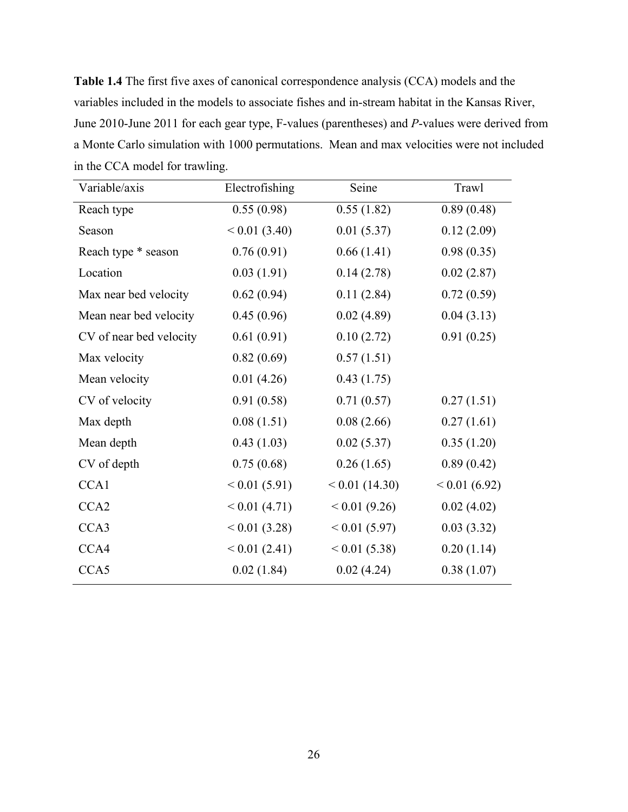**Table 1.4** The first five axes of canonical correspondence analysis (CCA) models and the variables included in the models to associate fishes and in-stream habitat in the Kansas River, June 2010-June 2011 for each gear type, F-values (parentheses) and *P*-values were derived from a Monte Carlo simulation with 1000 permutations. Mean and max velocities were not included in the CCA model for trawling.

| Variable/axis           | Electrofishing | Seine            | Trawl        |
|-------------------------|----------------|------------------|--------------|
| Reach type              | 0.55(0.98)     | 0.55(1.82)       | 0.89(0.48)   |
| Season                  | < 0.01(3.40)   | 0.01(5.37)       | 0.12(2.09)   |
| Reach type * season     | 0.76(0.91)     | 0.66(1.41)       | 0.98(0.35)   |
| Location                | 0.03(1.91)     | 0.14(2.78)       | 0.02(2.87)   |
| Max near bed velocity   | 0.62(0.94)     | 0.11(2.84)       | 0.72(0.59)   |
| Mean near bed velocity  | 0.45(0.96)     | 0.02(4.89)       | 0.04(3.13)   |
| CV of near bed velocity | 0.61(0.91)     | 0.10(2.72)       | 0.91(0.25)   |
| Max velocity            | 0.82(0.69)     | 0.57(1.51)       |              |
| Mean velocity           | 0.01(4.26)     | 0.43(1.75)       |              |
| CV of velocity          | 0.91(0.58)     | 0.71(0.57)       | 0.27(1.51)   |
| Max depth               | 0.08(1.51)     | 0.08(2.66)       | 0.27(1.61)   |
| Mean depth              | 0.43(1.03)     | 0.02(5.37)       | 0.35(1.20)   |
| CV of depth             | 0.75(0.68)     | 0.26(1.65)       | 0.89(0.42)   |
| CCA1                    | < 0.01(5.91)   | $< 0.01$ (14.30) | < 0.01(6.92) |
| CCA <sub>2</sub>        | < 0.01(4.71)   | < 0.01(9.26)     | 0.02(4.02)   |
| CCA3                    | < 0.01(3.28)   | < 0.01(5.97)     | 0.03(3.32)   |
| CCA4                    | < 0.01(2.41)   | < 0.01(5.38)     | 0.20(1.14)   |
| CCA5                    | 0.02(1.84)     | 0.02(4.24)       | 0.38(1.07)   |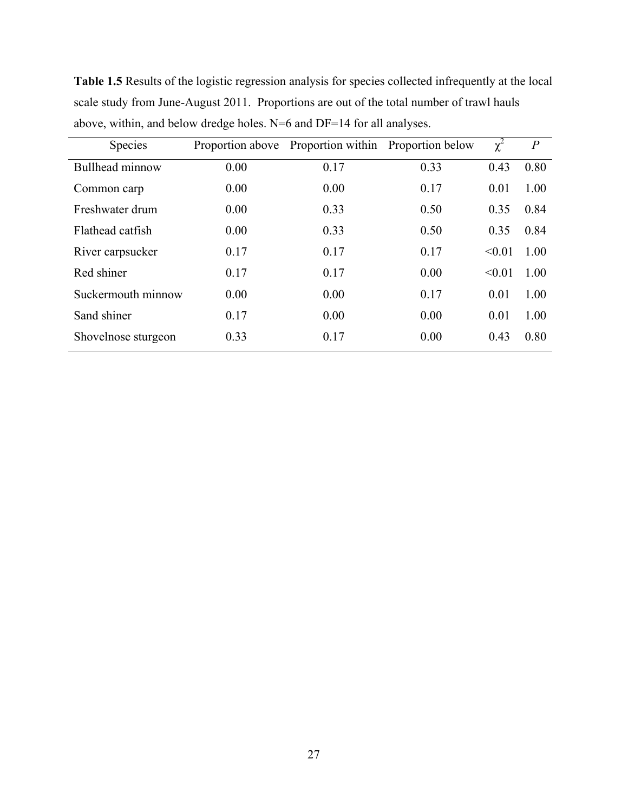| <b>Species</b>         |      | Proportion above Proportion within Proportion below |      | $\chi^2$ | $\boldsymbol{P}$ |
|------------------------|------|-----------------------------------------------------|------|----------|------------------|
| <b>Bullhead minnow</b> | 0.00 | 0.17                                                | 0.33 | 0.43     | 0.80             |
| Common carp            | 0.00 | 0.00                                                | 0.17 | 0.01     | 1.00             |
| Freshwater drum        | 0.00 | 0.33                                                | 0.50 | 0.35     | 0.84             |
| Flathead catfish       | 0.00 | 0.33                                                | 0.50 | 0.35     | 0.84             |
| River carpsucker       | 0.17 | 0.17                                                | 0.17 | < 0.01   | 1.00             |
| Red shiner             | 0.17 | 0.17                                                | 0.00 | < 0.01   | 1.00             |
| Suckermouth minnow     | 0.00 | 0.00                                                | 0.17 | 0.01     | 1.00             |
| Sand shiner            | 0.17 | 0.00                                                | 0.00 | 0.01     | 1.00             |
| Shovelnose sturgeon    | 0.33 | 0.17                                                | 0.00 | 0.43     | 0.80             |

**Table 1.5** Results of the logistic regression analysis for species collected infrequently at the local scale study from June-August 2011. Proportions are out of the total number of trawl hauls above, within, and below dredge holes. N=6 and DF=14 for all analyses.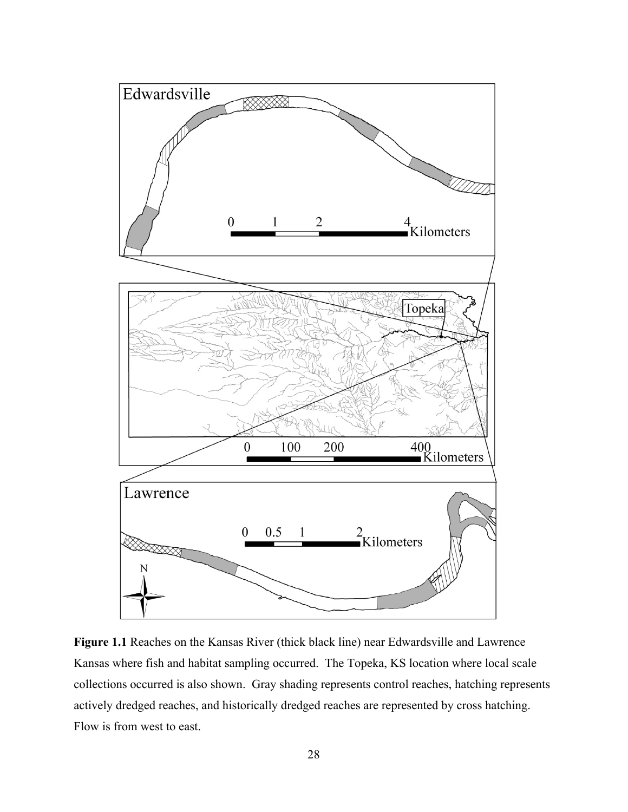

**Figure 1.1** Reaches on the Kansas River (thick black line) near Edwardsville and Lawrence Kansas where fish and habitat sampling occurred. The Topeka, KS location where local scale collections occurred is also shown. Gray shading represents control reaches, hatching represents actively dredged reaches, and historically dredged reaches are represented by cross hatching. Flow is from west to east.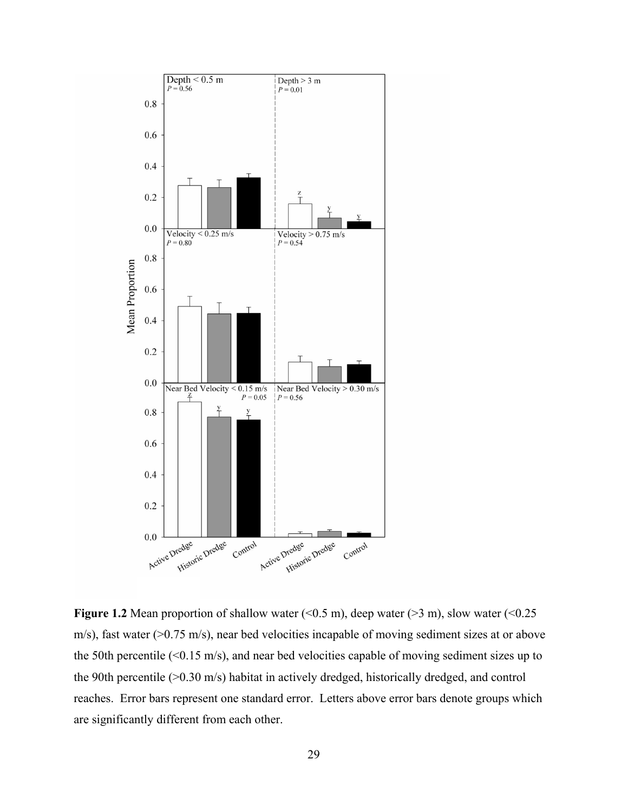

**Figure 1.2** Mean proportion of shallow water  $(<0.5 \text{ m})$ , deep water  $(>3 \text{ m})$ , slow water  $(<0.25 \text{ m})$ m/s), fast water (>0.75 m/s), near bed velocities incapable of moving sediment sizes at or above the 50th percentile (<0.15 m/s), and near bed velocities capable of moving sediment sizes up to the 90th percentile (>0.30 m/s) habitat in actively dredged, historically dredged, and control reaches. Error bars represent one standard error. Letters above error bars denote groups which are significantly different from each other.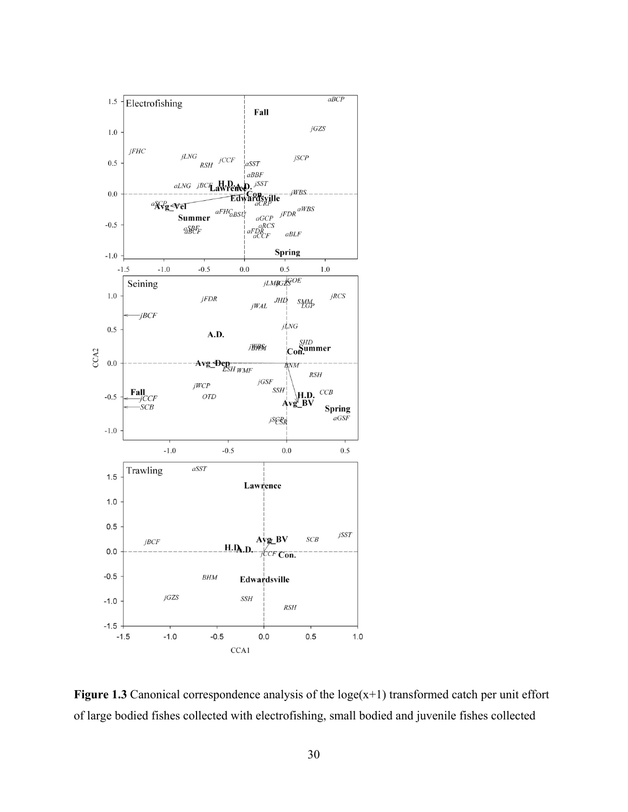

**Figure 1.3** Canonical correspondence analysis of the  $log(e(x+1))$  transformed catch per unit effort of large bodied fishes collected with electrofishing, small bodied and juvenile fishes collected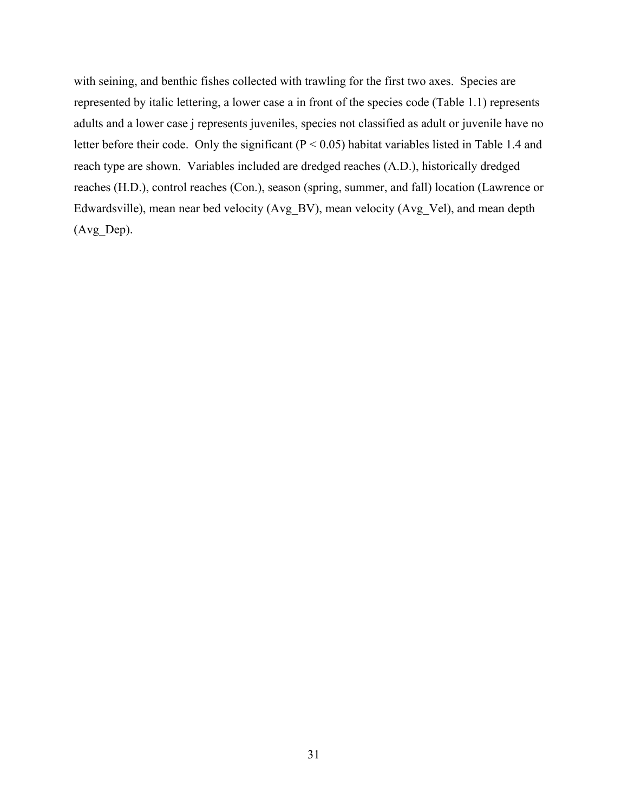with seining, and benthic fishes collected with trawling for the first two axes. Species are represented by italic lettering, a lower case a in front of the species code (Table 1.1) represents adults and a lower case j represents juveniles, species not classified as adult or juvenile have no letter before their code. Only the significant (P < 0.05) habitat variables listed in Table 1.4 and reach type are shown. Variables included are dredged reaches (A.D.), historically dredged reaches (H.D.), control reaches (Con.), season (spring, summer, and fall) location (Lawrence or Edwardsville), mean near bed velocity (Avg\_BV), mean velocity (Avg\_Vel), and mean depth (Avg\_Dep).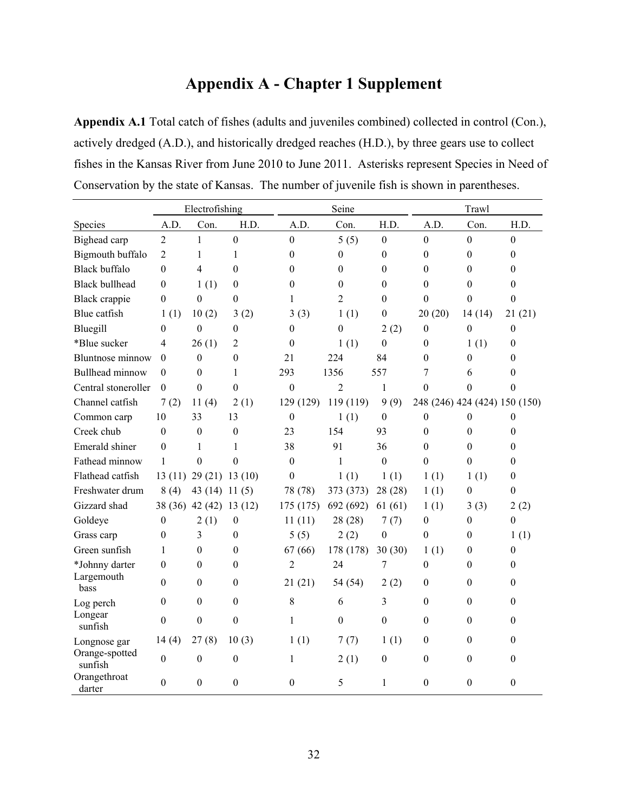# **Appendix A - Chapter 1 Supplement**

**Appendix A.1** Total catch of fishes (adults and juveniles combined) collected in control (Con.), actively dredged (A.D.), and historically dredged reaches (H.D.), by three gears use to collect fishes in the Kansas River from June 2010 to June 2011. Asterisks represent Species in Need of Conservation by the state of Kansas. The number of juvenile fish is shown in parentheses.

|                           | Electrofishing   |                            |                  |                  | Seine            |                  |                  | Trawl                         |                  |  |
|---------------------------|------------------|----------------------------|------------------|------------------|------------------|------------------|------------------|-------------------------------|------------------|--|
| Species                   | A.D.             | Con.                       | H.D.             | A.D.             | Con.             | H.D.             | A.D.             | Con.                          | H.D.             |  |
| Bighead carp              | $\overline{2}$   | $\mathbf{1}$               | $\boldsymbol{0}$ | $\boldsymbol{0}$ | 5(5)             | $\mathbf{0}$     | $\boldsymbol{0}$ | $\overline{0}$                | $\boldsymbol{0}$ |  |
| Bigmouth buffalo          | 2                | 1                          | 1                | $\theta$         | 0                | $\theta$         | $\theta$         | $\Omega$                      | $\theta$         |  |
| <b>Black buffalo</b>      | $\theta$         | 4                          | $\theta$         | $\theta$         | 0                | $\theta$         | $\boldsymbol{0}$ | $\theta$                      | $\theta$         |  |
| <b>Black bullhead</b>     | 0                | 1(1)                       | $\theta$         | $\boldsymbol{0}$ | $\boldsymbol{0}$ | $\mathbf{0}$     | $\boldsymbol{0}$ | $\Omega$                      | $\theta$         |  |
| Black crappie             | $\boldsymbol{0}$ | $\boldsymbol{0}$           | $\boldsymbol{0}$ | $\mathbf{1}$     | $\overline{2}$   | $\boldsymbol{0}$ | $\boldsymbol{0}$ | $\boldsymbol{0}$              | $\boldsymbol{0}$ |  |
| Blue catfish              | 1(1)             | 10(2)                      | 3(2)             | 3(3)             | 1(1)             | $\mathbf{0}$     | 20(20)           | 14(14)                        | 21(21)           |  |
| Bluegill                  | 0                | $\mathbf{0}$               | $\theta$         | $\theta$         | $\boldsymbol{0}$ | 2(2)             | $\theta$         | $\theta$                      | $\mathbf{0}$     |  |
| *Blue sucker              | 4                | 26(1)                      | $\overline{2}$   | $\mathbf{0}$     | 1(1)             | $\theta$         | $\boldsymbol{0}$ | 1(1)                          | $\theta$         |  |
| <b>Bluntnose</b> minnow   | $\theta$         | $\theta$                   | $\theta$         | 21               | 224              | 84               | $\theta$         | $\mathbf{0}$                  | $\Omega$         |  |
| Bullhead minnow           | $\theta$         | $\theta$                   | 1                | 293              | 1356             | 557              | 7                | 6                             | $\theta$         |  |
| Central stoneroller       | $\theta$         | $\theta$                   | $\theta$         | $\theta$         | $\overline{2}$   | $\mathbf{1}$     | $\mathbf{0}$     | $\theta$                      | $\theta$         |  |
| Channel catfish           | 7(2)             | 11(4)                      | 2(1)             | 129 (129)        | 119 (119)        | 9(9)             |                  | 248 (246) 424 (424) 150 (150) |                  |  |
| Common carp               | 10               | 33                         | 13               | $\mathbf{0}$     | 1(1)             | $\boldsymbol{0}$ | $\boldsymbol{0}$ | $\theta$                      | $\boldsymbol{0}$ |  |
| Creek chub                | $\boldsymbol{0}$ | $\boldsymbol{0}$           | $\boldsymbol{0}$ | 23               | 154              | 93               | $\boldsymbol{0}$ | $\boldsymbol{0}$              | $\theta$         |  |
| Emerald shiner            | $\theta$         | 1                          | 1                | 38               | 91               | 36               | $\boldsymbol{0}$ | $\overline{0}$                | $\theta$         |  |
| Fathead minnow            | $\mathbf{1}$     | $\theta$                   | $\theta$         | $\theta$         | $\mathbf{1}$     | $\theta$         | $\theta$         | $\theta$                      | $\theta$         |  |
| Flathead catfish          |                  | $13(11)$ $29(21)$ $13(10)$ |                  | $\theta$         | 1(1)             | 1(1)             | 1(1)             | 1(1)                          | $\theta$         |  |
| Freshwater drum           | 8(4)             | 43 (14) 11 (5)             |                  | 78 (78)          | 373 (373)        | 28 (28)          | 1(1)             | $\Omega$                      | $\theta$         |  |
| Gizzard shad              |                  | 38 (36) 42 (42) 13 (12)    |                  | 175 (175)        | 692 (692)        | 61(61)           | 1(1)             | 3(3)                          | 2(2)             |  |
| Goldeye                   | $\boldsymbol{0}$ | 2(1)                       | $\boldsymbol{0}$ | 11(11)           | 28 (28)          | 7(7)             | $\boldsymbol{0}$ | $\boldsymbol{0}$              | $\boldsymbol{0}$ |  |
| Grass carp                | $\mathbf{0}$     | 3                          | $\boldsymbol{0}$ | 5(5)             | 2(2)             | $\theta$         | $\theta$         | $\theta$                      | 1(1)             |  |
| Green sunfish             | 1                | $\overline{0}$             | $\boldsymbol{0}$ | 67(66)           | 178 (178)        | 30(30)           | 1(1)             | $\theta$                      | $\boldsymbol{0}$ |  |
| *Johnny darter            | $\mathbf{0}$     | 0                          | $\theta$         | $\overline{2}$   | 24               | 7                | $\boldsymbol{0}$ | $\theta$                      | $\theta$         |  |
| Largemouth<br>bass        | $\Omega$         | $\boldsymbol{0}$           | $\mathbf{0}$     | 21(21)           | 54 (54)          | 2(2)             | $\boldsymbol{0}$ | $\overline{0}$                | $\Omega$         |  |
| Log perch                 | 0                | $\mathbf{0}$               | $\boldsymbol{0}$ | 8                | 6                | 3                | $\boldsymbol{0}$ | $\Omega$                      | $\theta$         |  |
| Longear<br>sunfish        | $\theta$         | $\mathbf{0}$               | $\theta$         | 1                | $\theta$         | $\theta$         | $\theta$         | $\Omega$                      | $\theta$         |  |
| Longnose gar              | 14(4)            | 27(8)                      | 10(3)            | 1(1)             | 7(7)             | 1(1)             | $\boldsymbol{0}$ | $\overline{0}$                | $\theta$         |  |
| Orange-spotted<br>sunfish | $\mathbf{0}$     | $\boldsymbol{0}$           | $\theta$         | 1                | 2(1)             | $\theta$         | $\boldsymbol{0}$ | $\Omega$                      | $\mathbf{0}$     |  |
| Orangethroat<br>darter    | $\theta$         | $\theta$                   | $\theta$         | $\theta$         | 5                | 1                | $\theta$         | $\Omega$                      | $\theta$         |  |